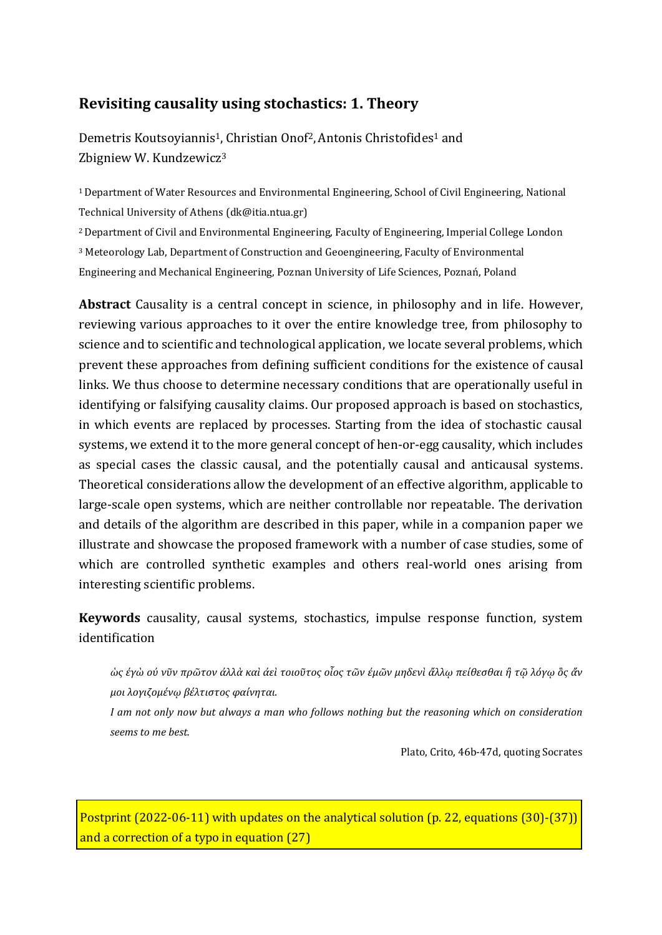# **Revisiting causality using stochastics: 1. Theory**

Demetris Koutsoyiannis<sup>1</sup>, Christian Onof<sup>2</sup>, Antonis Christofides<sup>1</sup> and Zbigniew W. Kundzewicz<sup>3</sup>

<sup>1</sup>Department of Water Resources and Environmental Engineering, School of Civil Engineering, National Technical University of Athens (dk@itia.ntua.gr)

<sup>2</sup> Department of Civil and Environmental Engineering, Faculty of Engineering, Imperial College London

<sup>3</sup> Meteorology Lab, Department of Construction and Geoengineering, Faculty of Environmental

Engineering and Mechanical Engineering, Poznan University of Life Sciences, Poznań, Poland

**Abstract** Causality is a central concept in science, in philosophy and in life. However, reviewing various approaches to it over the entire knowledge tree, from philosophy to science and to scientific and technological application, we locate several problems, which prevent these approaches from defining sufficient conditions for the existence of causal links. We thus choose to determine necessary conditions that are operationally useful in identifying or falsifying causality claims. Our proposed approach is based on stochastics, in which events are replaced by processes. Starting from the idea of stochastic causal systems, we extend it to the more general concept of hen-or-egg causality, which includes as special cases the classic causal, and the potentially causal and anticausal systems. Theoretical considerations allow the development of an effective algorithm, applicable to large-scale open systems, which are neither controllable nor repeatable. The derivation and details of the algorithm are described in this paper, while in a companion paper we illustrate and showcase the proposed framework with a number of case studies, some of which are controlled synthetic examples and others real-world ones arising from interesting scientific problems.

**Keywords** causality, causal systems, stochastics, impulse response function, system identification

*ὡς ἐγὼ οὐ νῦν πρῶτον ἀλλὰ καὶ ἀεὶ τοιοῦτος οἷος τῶν ἐμῶν μηδενὶ ἄλλῳ πείθεσθαι ἢ τῷ λόγῳ ὃς ἄν μοι λογιζομένῳ βέλτιστος φαίνηται.*

*I am not only now but always a man who follows nothing but the reasoning which on consideration seems to me best.*

Plato, Crito, 46b-47d, quoting Socrates

Postprint (2022-06-11) with updates on the analytical solution (p. 22, equations (30)-(37)) and a correction of a typo in equation (27)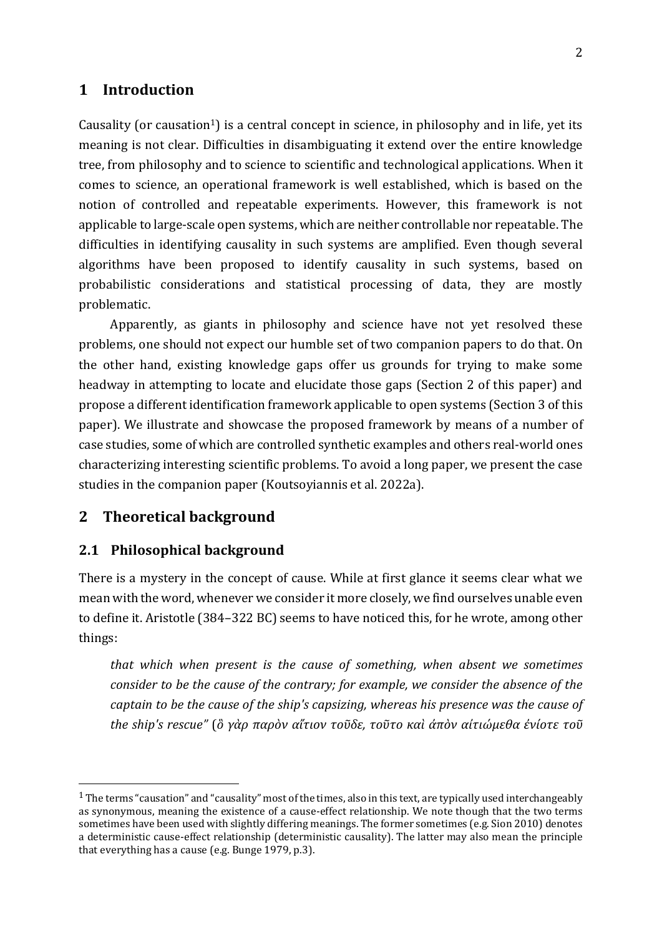# **1 Introduction**

Causality (or causation<sup>1</sup>) is a central concept in science, in philosophy and in life, yet its meaning is not clear. Difficulties in disambiguating it extend over the entire knowledge tree, from philosophy and to science to scientific and technological applications. When it comes to science, an operational framework is well established, which is based on the notion of controlled and repeatable experiments. However, this framework is not applicable to large-scale open systems, which are neither controllable nor repeatable. The difficulties in identifying causality in such systems are amplified. Even though several algorithms have been proposed to identify causality in such systems, based on probabilistic considerations and statistical processing of data, they are mostly problematic.

Apparently, as giants in philosophy and science have not yet resolved these problems, one should not expect our humble set of two companion papers to do that. On the other hand, existing knowledge gaps offer us grounds for trying to make some headway in attempting to locate and elucidate those gaps (Section 2 of this paper) and propose a different identification framework applicable to open systems (Section 3 of this paper). We illustrate and showcase the proposed framework by means of a number of case studies, some of which are controlled synthetic examples and others real-world ones characterizing interesting scientific problems. To avoid a long paper, we present the case studies in the companion paper (Koutsoyiannis et al. 2022a).

# **2 Theoretical background**

#### **2.1 Philosophical background**

There is a mystery in the concept of cause. While at first glance it seems clear what we mean with the word, whenever we consider it more closely, we find ourselves unable even to define it. Aristotle (384–322 BC) seems to have noticed this, for he wrote, among other things:

*that which when present is the cause of something, when absent we sometimes consider to be the cause of the contrary; for example, we consider the absence of the captain to be the cause of the ship's capsizing, whereas his presence was the cause of the ship's rescue"* (*ὃ γὰρ παρὸν αἴτιον τοῦδε, τοῦτο καὶ ἀπὸν αἰτιώμεθα ἐνίοτε τοῦ*

 $1$  The terms "causation" and "causality" most of the times, also in this text, are typically used interchangeably as synonymous, meaning the existence of a cause-effect relationship. We note though that the two terms sometimes have been used with slightly differing meanings. The former sometimes (e.g. Sion 2010) denotes a deterministic cause-effect relationship (deterministic causality). The latter may also mean the principle that everything has a cause (e.g. Bunge 1979, p.3).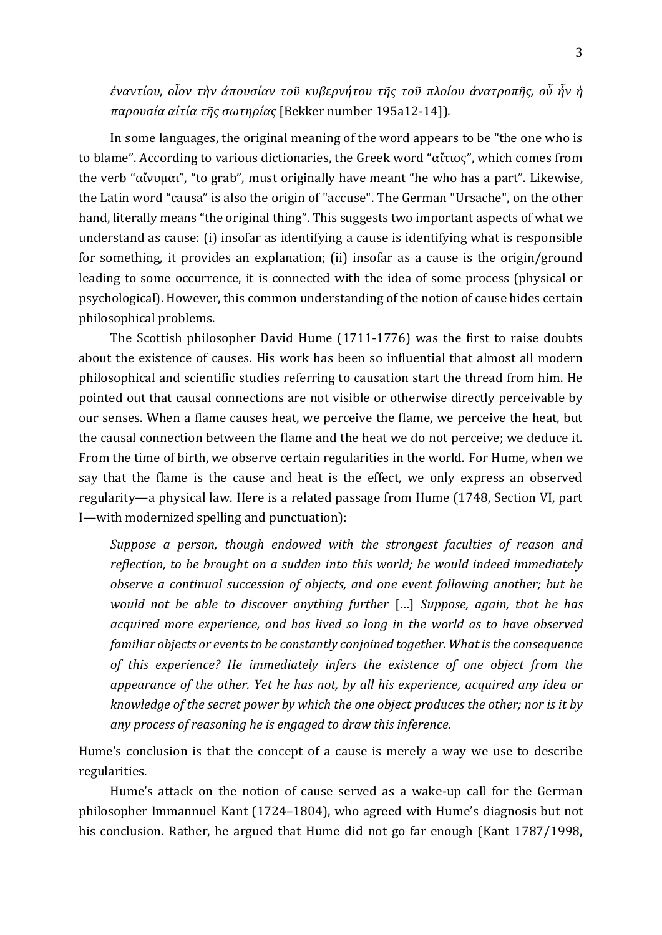*ἐναντίου, οἷον τὴν ἀπουσίαν τοῦ κυβερνήτου τῆς τοῦ πλοίου ἀνατροπῆς, οὗ ἦν ἡ παρουσία αἰτία τῆς σωτηρίας* [Bekker number 195a12-14])*.* 

In some languages, the original meaning of the word appears to be "the one who is to blame". According to various dictionaries, the Greek word "αἴτιος", which comes from the verb "αἴνυμαι", "to grab", must originally have meant "he who has a part". Likewise, the Latin word "causa" is also the origin of "accuse". The German "Ursache", on the other hand, literally means "the original thing". This suggests two important aspects of what we understand as cause: (i) insofar as identifying a cause is identifying what is responsible for something, it provides an explanation; (ii) insofar as a cause is the origin/ground leading to some occurrence, it is connected with the idea of some process (physical or psychological). However, this common understanding of the notion of cause hides certain philosophical problems.

The Scottish philosopher David Hume (1711-1776) was the first to raise doubts about the existence of causes. His work has been so influential that almost all modern philosophical and scientific studies referring to causation start the thread from him. He pointed out that causal connections are not visible or otherwise directly perceivable by our senses. When a flame causes heat, we perceive the flame, we perceive the heat, but the causal connection between the flame and the heat we do not perceive; we deduce it. From the time of birth, we observe certain regularities in the world. For Hume, when we say that the flame is the cause and heat is the effect, we only express an observed regularity—a physical law. Here is a related passage from Hume (1748, Section VI, part I—with modernized spelling and punctuation):

*Suppose a person, though endowed with the strongest faculties of reason and reflection, to be brought on a sudden into this world; he would indeed immediately observe a continual succession of objects, and one event following another; but he would not be able to discover anything further* […] *Suppose, again, that he has acquired more experience, and has lived so long in the world as to have observed familiar objects or events to be constantly conjoined together. What is the consequence of this experience? He immediately infers the existence of one object from the appearance of the other. Yet he has not, by all his experience, acquired any idea or knowledge of the secret power by which the one object produces the other; nor is it by any process of reasoning he is engaged to draw this inference.*

Hume's conclusion is that the concept of a cause is merely a way we use to describe regularities.

Hume's attack on the notion of cause served as a wake-up call for the German philosopher Immannuel Kant (1724–1804), who agreed with Hume's diagnosis but not his conclusion. Rather, he argued that Hume did not go far enough (Kant 1787/1998,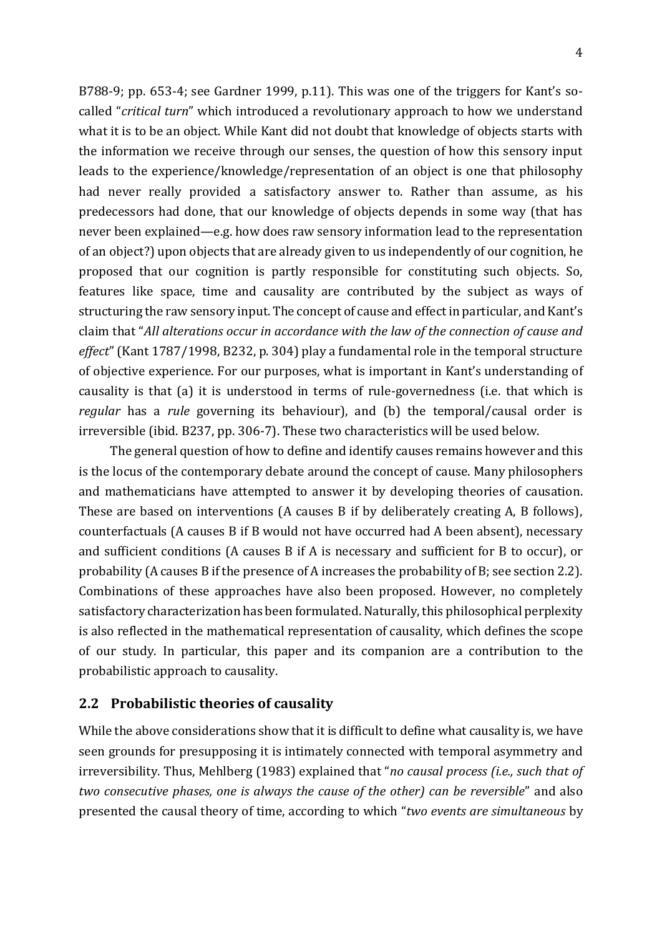B788-9; pp. 653-4; see Gardner 1999, p.11). This was one of the triggers for Kant's socalled "*critical turn*" which introduced a revolutionary approach to how we understand what it is to be an object. While Kant did not doubt that knowledge of objects starts with the information we receive through our senses, the question of how this sensory input leads to the experience/knowledge/representation of an object is one that philosophy had never really provided a satisfactory answer to. Rather than assume, as his predecessors had done, that our knowledge of objects depends in some way (that has never been explained—e.g. how does raw sensory information lead to the representation of an object?) upon objects that are already given to us independently of our cognition, he proposed that our cognition is partly responsible for constituting such objects. So, features like space, time and causality are contributed by the subject as ways of structuring the raw sensory input. The concept of cause and effect in particular, and Kant's claim that "*All alterations occur in accordance with the law of the connection of cause and effect*" (Kant 1787/1998, B232, p. 304) play a fundamental role in the temporal structure of objective experience. For our purposes, what is important in Kant's understanding of causality is that (a) it is understood in terms of rule-governedness (i.e. that which is *regular* has a *rule* governing its behaviour), and (b) the temporal/causal order is irreversible (ibid. B237, pp. 306-7). These two characteristics will be used below.

The general question of how to define and identify causes remains however and this is the locus of the contemporary debate around the concept of cause. Many philosophers and mathematicians have attempted to answer it by developing theories of causation. These are based on interventions (A causes B if by deliberately creating A, B follows), counterfactuals (A causes B if B would not have occurred had A been absent), necessary and sufficient conditions (A causes B if A is necessary and sufficient for B to occur), or probability (A causes B if the presence of A increases the probability of B; see section 2.2). Combinations of these approaches have also been proposed. However, no completely satisfactory characterization has been formulated. Naturally, this philosophical perplexity is also reflected in the mathematical representation of causality, which defines the scope of our study. In particular, this paper and its companion are a contribution to the probabilistic approach to causality.

# **2.2 Probabilistic theories of causality**

While the above considerations show that it is difficult to define what causality is, we have seen grounds for presupposing it is intimately connected with temporal asymmetry and irreversibility. Thus, Mehlberg (1983) explained that "*no causal process (i.e., such that of two consecutive phases, one is always the cause of the other) can be reversible*" and also presented the causal theory of time, according to which "*two events are simultaneous* by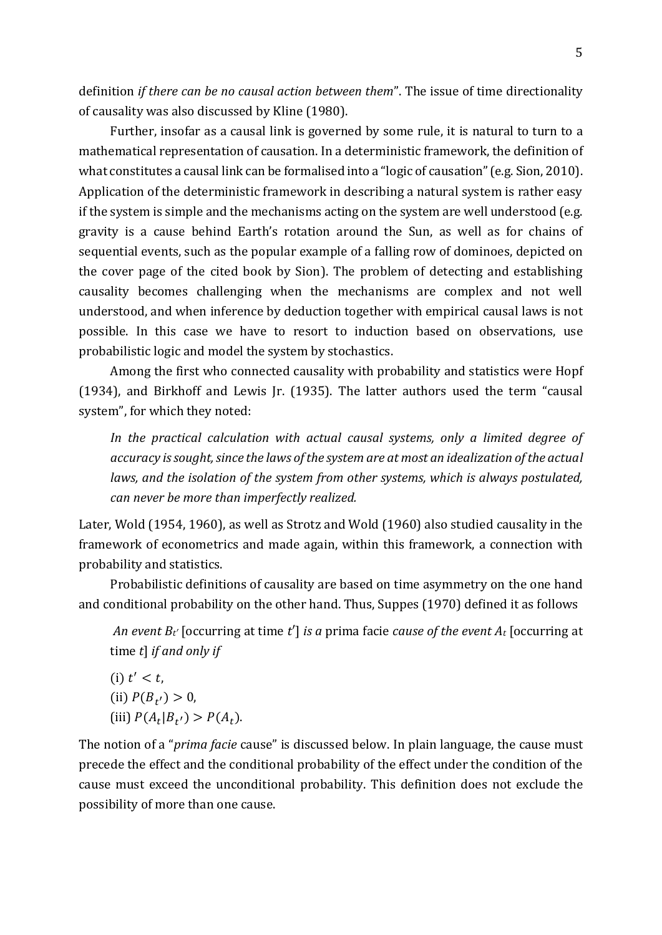definition *if there can be no causal action between them*". The issue of time directionality of causality was also discussed by Kline (1980).

Further, insofar as a causal link is governed by some rule, it is natural to turn to a mathematical representation of causation. In a deterministic framework, the definition of what constitutes a causal link can be formalised into a "logic of causation"(e.g. Sion, 2010). Application of the deterministic framework in describing a natural system is rather easy if the system is simple and the mechanisms acting on the system are well understood (e.g. gravity is a cause behind Earth's rotation around the Sun, as well as for chains of sequential events, such as the popular example of a falling row of dominoes, depicted on the cover page of the cited book by Sion). The problem of detecting and establishing causality becomes challenging when the mechanisms are complex and not well understood, and when inference by deduction together with empirical causal laws is not possible. In this case we have to resort to induction based on observations, use probabilistic logic and model the system by stochastics.

Among the first who connected causality with probability and statistics were Hopf (1934), and Birkhoff and Lewis Jr. (1935). The latter authors used the term "causal system", for which they noted:

*In the practical calculation with actual causal systems, only a limited degree of accuracy is sought, since the laws of the system are at most an idealization of the actual laws, and the isolation of the system from other systems, which is always postulated, can never be more than imperfectly realized.*

Later, Wold (1954, 1960), as well as Strotz and Wold (1960) also studied causality in the framework of econometrics and made again, within this framework, a connection with probability and statistics.

Probabilistic definitions of causality are based on time asymmetry on the one hand and conditional probability on the other hand. Thus, Suppes (1970) defined it as follows

*An event Bt′* [occurring at time *t*′] *is a* prima facie *cause of the event A<sup>t</sup>* [occurring at time *t*] *if and only if*

(i)  $t' < t$ , (ii)  $P(B_{t'}) > 0$ , (iii)  $P(A_t | B_{t'}) > P(A_t)$ .

The notion of a "*prima facie* cause" is discussed below. In plain language, the cause must precede the effect and the conditional probability of the effect under the condition of the cause must exceed the unconditional probability. This definition does not exclude the possibility of more than one cause.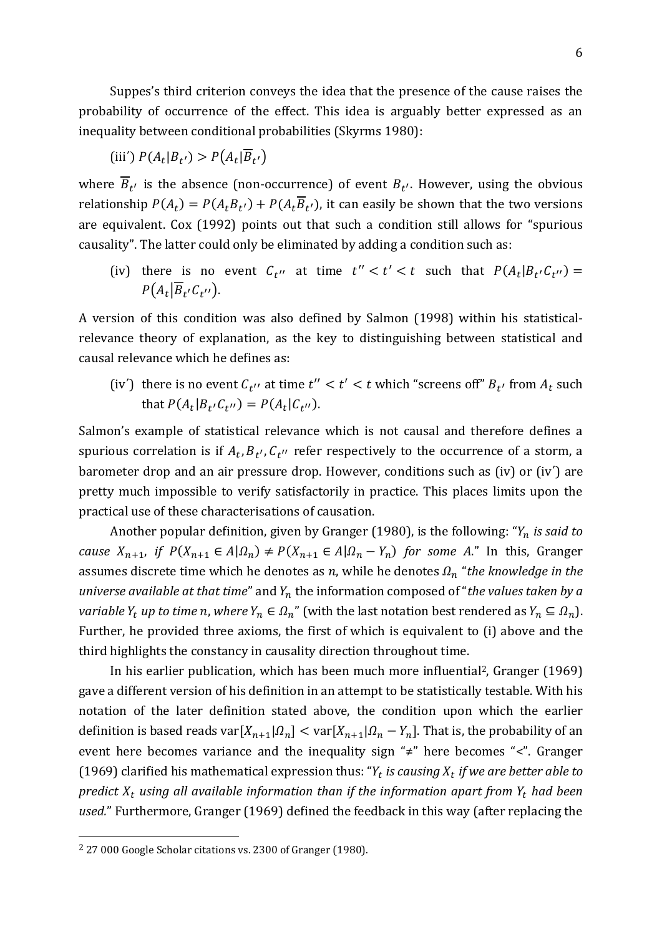Suppes's third criterion conveys the idea that the presence of the cause raises the probability of occurrence of the effect. This idea is arguably better expressed as an inequality between conditional probabilities (Skyrms 1980):

$$
(iii') P(A_t|B_{t'}) > P(A_t|\overline{B}_{t'})
$$

where  $B_{t'}$  is the absence (non-occurrence) of event  $B_{t'}$ . However, using the obvious relationship  $P(A_t) = P(A_t B_{t'}) + P(A_t B_{t'})$ , it can easily be shown that the two versions are equivalent. Cox (1992) points out that such a condition still allows for "spurious causality". The latter could only be eliminated by adding a condition such as:

(iv) there is no event  $C_{t''}$  at time  $t'' < t' < t$  such that  $P(A_t|B_{t'}C_{t''}) =$  $P(A_t|B_{t'}C_{t''}).$ 

A version of this condition was also defined by Salmon (1998) within his statisticalrelevance theory of explanation, as the key to distinguishing between statistical and causal relevance which he defines as:

(iv') there is no event  $C_{t''}$  at time  $t'' < t' < t$  which "screens off"  $B_{t'}$  from  $A_t$  such that  $P(A_t|B_{t'}C_{t''}) = P(A_t|C_{t''}).$ 

Salmon's example of statistical relevance which is not causal and therefore defines a spurious correlation is if  $A_t, B_{t'}, C_{t''}$  refer respectively to the occurrence of a storm, a barometer drop and an air pressure drop. However, conditions such as (iv) or (iv΄) are pretty much impossible to verify satisfactorily in practice. This places limits upon the practical use of these characterisations of causation.

Another popular definition, given by Granger (1980), is the following: " *is said to cause*  $X_{n+1}$ , *if*  $P(X_{n+1} \in A | \Omega_n) \neq P(X_{n+1} \in A | \Omega_n - Y_n)$  *for some A.*" In this, Granger assumes discrete time which he denotes as  $n$ , while he denotes  $\Omega_n$  "*the knowledge in the universe available at that time*" and  $Y_n$  the information composed of "*the values taken by a variable*  $Y_t$  *up to time n, where*  $Y_n \in \Omega_n$ " (with the last notation best rendered as  $Y_n \subseteq \Omega_n$ ). Further, he provided three axioms, the first of which is equivalent to (i) above and the third highlights the constancy in causality direction throughout time.

In his earlier publication, which has been much more influential<sup>2</sup>, Granger (1969) gave a different version of his definition in an attempt to be statistically testable. With his notation of the later definition stated above, the condition upon which the earlier definition is based reads var $[X_{n+1}| \Omega_n] < \text{var}[X_{n+1}| \Omega_n - Y_n]$ . That is, the probability of an event here becomes variance and the inequality sign "≠" here becomes "<". Granger (1969) clarified his mathematical expression thus: " $Y_t$  *is causing*  $X_t$  *if we are better able to predict*  $X_t$  using all available information than if the information apart from  $Y_t$  had been *used.*" Furthermore, Granger (1969) defined the feedback in this way (after replacing the

<sup>2</sup> 27 000 Google Scholar citations vs. 2300 of Granger (1980).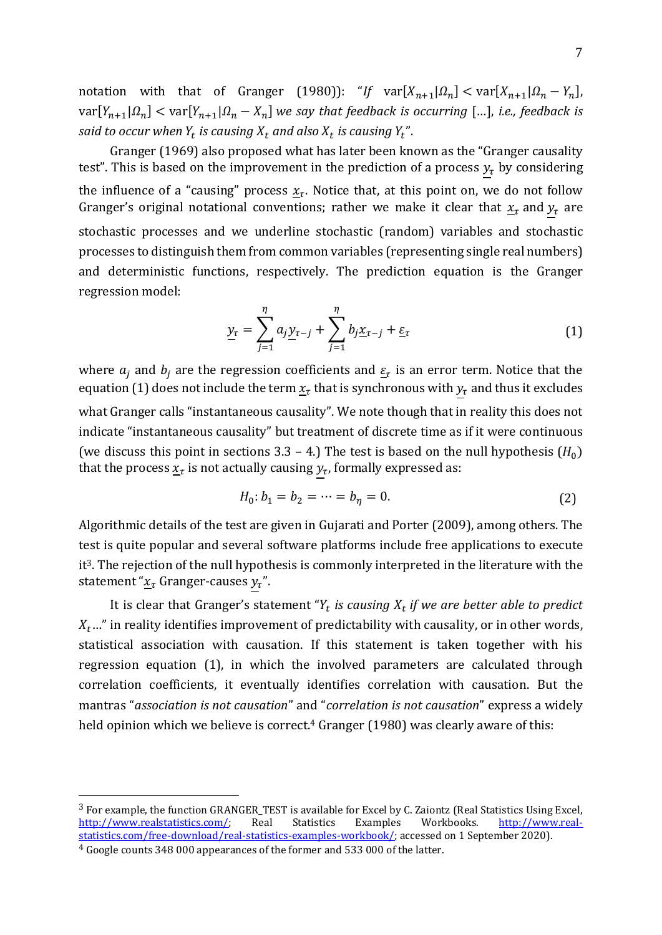notation with that of Granger (1980)): "If  $var[X_{n+1} | \Omega_n] < var[X_{n+1} | \Omega_n - Y_n]$ ,  $\text{var}[Y_{n+1} | \Omega_n] < \text{var}[Y_{n+1} | \Omega_n - X_n]$  we say that feedback is occurring [...], i.e., feedback is said to occur when  $Y_t$  is causing  $X_t$  and also  $X_t$  is causing  $Y_t$  ".

Granger (1969) also proposed what has later been known as the "Granger causality test". This is based on the improvement in the prediction of a process  $y<sub>\tau</sub>$  by considering the influence of a "causing" process  $\underline{x}_{\tau}.$  Notice that, at this point on, we do not follow Granger's original notational conventions; rather we make it clear that  $\underline{x}_{\tau}$  and  $y_{\tau}$  are stochastic processes and we underline stochastic (random) variables and stochastic processes to distinguish them from common variables (representing single real numbers) and deterministic functions, respectively. The prediction equation is the Granger regression model:

$$
\underline{y}_{\tau} = \sum_{j=1}^{\eta} a_j \underline{y}_{\tau-j} + \sum_{j=1}^{\eta} b_j \underline{x}_{\tau-j} + \underline{\varepsilon}_{\tau}
$$
(1)

where  $a_j$  and  $b_j$  are the regression coefficients and  $\underline{\varepsilon}_{\tau}$  is an error term. Notice that the equation (1) does not include the term  $\underline{x}_{\tau}$  that is synchronous with  $y_{\tau}$  and thus it excludes what Granger calls "instantaneous causality". We note though that in reality this does not indicate "instantaneous causality" but treatment of discrete time as if it were continuous (we discuss this point in sections 3.3 – 4.) The test is based on the null hypothesis  $(H_0)$ that the process  $\underline{x}_{\tau}$  is not actually causing  $y_{\tau}$ , formally expressed as:

$$
H_0: b_1 = b_2 = \dots = b_\eta = 0. \tag{2}
$$

Algorithmic details of the test are given in Gujarati and Porter (2009), among others. The test is quite popular and several software platforms include free applications to execute it3. The rejection of the null hypothesis is commonly interpreted in the literature with the statement " $\underline{x}_{\tau}$  Granger-causes  $y_{\tau}$ ".

It is clear that Granger's statement " $Y_t$  *is causing*  $X_t$  *if we are better able to predict*  $X_t$ ..." in reality identifies improvement of predictability with causality, or in other words, statistical association with causation. If this statement is taken together with his regression equation (1), in which the involved parameters are calculated through correlation coefficients, it eventually identifies correlation with causation. But the mantras "*association is not causation*" and "*correlation is not causation*" express a widely held opinion which we believe is correct. <sup>4</sup> Granger (1980) was clearly aware of this:

<sup>3</sup> For example, the function GRANGER\_TEST is available for Excel by C. Zaiontz (Real Statistics Using Excel, [http://www.realstatistics.com/;](http://www.realstatistics.com/) Real Statistics Examples Workbooks. [http://www.real](http://www.real-statistics.com/free-download/real-statistics-examples-workbook/)[statistics.com/free-download/real-statistics-examples-workbook/;](http://www.real-statistics.com/free-download/real-statistics-examples-workbook/) accessed on 1 September 2020).

<sup>4</sup> Google counts 348 000 appearances of the former and 533 000 of the latter.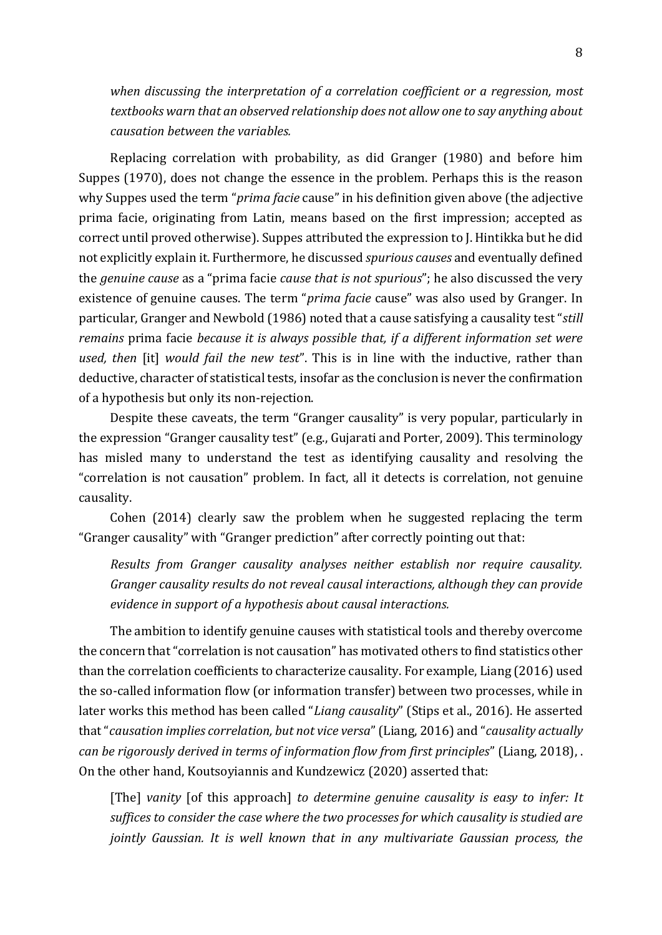*when discussing the interpretation of a correlation coefficient or a regression, most textbooks warn that an observed relationship does not allow one to say anything about causation between the variables.*

Replacing correlation with probability, as did Granger (1980) and before him Suppes (1970), does not change the essence in the problem. Perhaps this is the reason why Suppes used the term "*prima facie* cause" in his definition given above (the adjective prima facie, originating from Latin, means based on the first impression; accepted as correct until proved otherwise). Suppes attributed the expression to J. Hintikka but he did not explicitly explain it. Furthermore, he discussed *spurious causes* and eventually defined the *genuine cause* as a "prima facie *cause that is not spurious*"; he also discussed the very existence of genuine causes. The term "*prima facie* cause" was also used by Granger. In particular, Granger and Newbold (1986) noted that a cause satisfying a causality test "*still remains* prima facie *because it is always possible that, if a different information set were used, then* [it] *would fail the new test*". This is in line with the inductive, rather than deductive, character of statistical tests, insofar as the conclusion is never the confirmation of a hypothesis but only its non-rejection.

Despite these caveats, the term "Granger causality" is very popular, particularly in the expression "Granger causality test" (e.g., Gujarati and Porter, 2009). This terminology has misled many to understand the test as identifying causality and resolving the "correlation is not causation" problem. In fact, all it detects is correlation, not genuine causality.

Cohen (2014) clearly saw the problem when he suggested replacing the term "Granger causality" with "Granger prediction" after correctly pointing out that:

*Results from Granger causality analyses neither establish nor require causality. Granger causality results do not reveal causal interactions, although they can provide evidence in support of a hypothesis about causal interactions.*

The ambition to identify genuine causes with statistical tools and thereby overcome the concern that"correlation is not causation" has motivated others to find statistics other than the correlation coefficients to characterize causality. For example, Liang (2016) used the so-called information flow (or information transfer) between two processes, while in later works this method has been called "*Liang causality*" (Stips et al., 2016). He asserted that"*causation implies correlation, but not vice versa*" (Liang, 2016) and "*causality actually can be rigorously derived in terms of information flow from first principles*" (Liang, 2018), . On the other hand, Koutsoyiannis and Kundzewicz (2020) asserted that:

[The] *vanity* [of this approach] *to determine genuine causality is easy to infer: It suffices to consider the case where the two processes for which causality is studied are jointly Gaussian. It is well known that in any multivariate Gaussian process, the*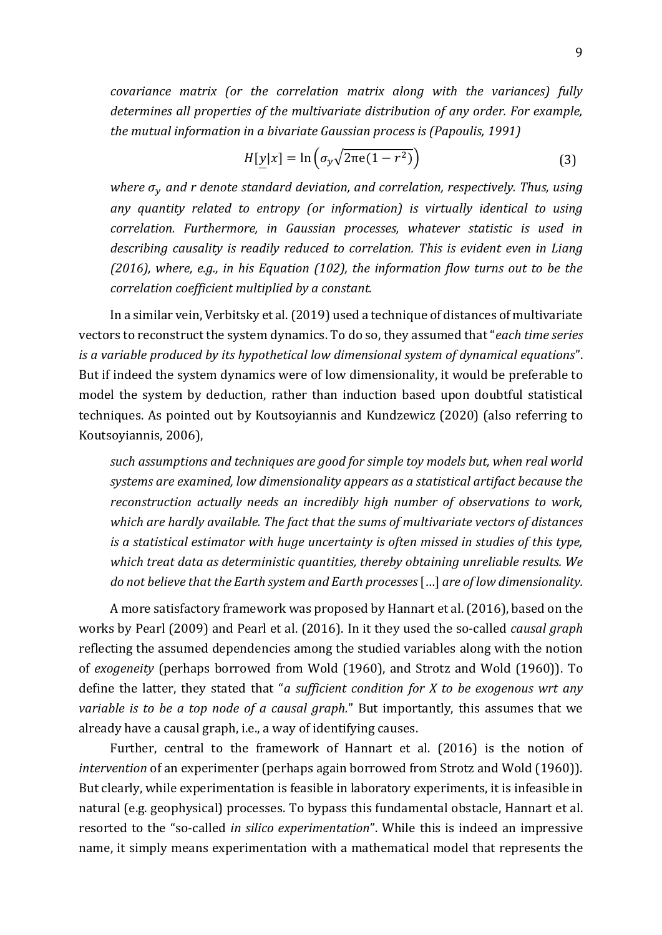*covariance matrix (or the correlation matrix along with the variances) fully determines all properties of the multivariate distribution of any order. For example, the mutual information in a bivariate Gaussian process is (Papoulis, 1991)*

$$
H[\underline{y}|x] = \ln\left(\sigma_y \sqrt{2\pi e(1 - r^2)}\right)
$$
\n(3)

*where and r denote standard deviation, and correlation, respectively. Thus, using any quantity related to entropy (or information) is virtually identical to using correlation. Furthermore, in Gaussian processes, whatever statistic is used in describing causality is readily reduced to correlation. This is evident even in Liang (2016), where, e.g., in his Equation (102), the information flow turns out to be the correlation coefficient multiplied by a constant.* 

In a similar vein, Verbitsky et al. (2019) used a technique of distances of multivariate vectors to reconstruct the system dynamics. To do so, they assumed that "*each time series is a variable produced by its hypothetical low dimensional system of dynamical equations*". But if indeed the system dynamics were of low dimensionality, it would be preferable to model the system by deduction, rather than induction based upon doubtful statistical techniques. As pointed out by Koutsoyiannis and Kundzewicz (2020) (also referring to Koutsoyiannis, 2006),

*such assumptions and techniques are good for simple toy models but, when real world systems are examined, low dimensionality appears as a statistical artifact because the reconstruction actually needs an incredibly high number of observations to work, which are hardly available. The fact that the sums of multivariate vectors of distances is a statistical estimator with huge uncertainty is often missed in studies of this type, which treat data as deterministic quantities, thereby obtaining unreliable results. We do not believe that the Earth system and Earth processes*[…] *are of low dimensionality.*

A more satisfactory framework was proposed by Hannart et al. (2016), based on the works by Pearl (2009) and Pearl et al. (2016). In it they used the so-called *causal graph* reflecting the assumed dependencies among the studied variables along with the notion of *exogeneity* (perhaps borrowed from Wold (1960), and Strotz and Wold (1960)). To define the latter, they stated that "*a sufficient condition for X to be exogenous wrt any variable is to be a top node of a causal graph.*" But importantly, this assumes that we already have a causal graph, i.e., a way of identifying causes.

Further, central to the framework of Hannart et al. (2016) is the notion of *intervention* of an experimenter (perhaps again borrowed from Strotz and Wold (1960)). But clearly, while experimentation is feasible in laboratory experiments, it is infeasible in natural (e.g. geophysical) processes. To bypass this fundamental obstacle, Hannart et al. resorted to the "so-called *in silico experimentation*". While this is indeed an impressive name, it simply means experimentation with a mathematical model that represents the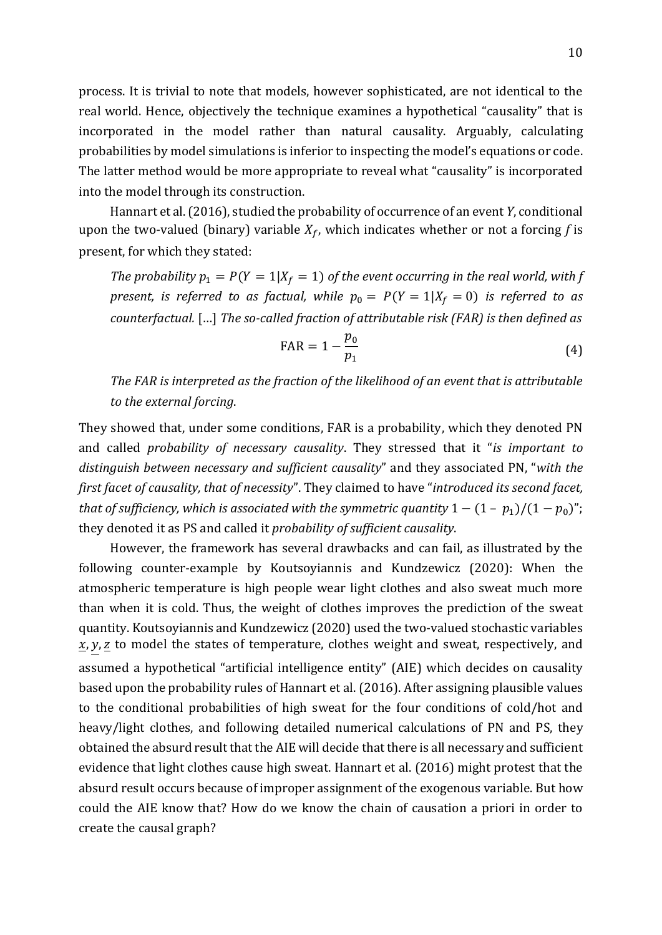process. It is trivial to note that models, however sophisticated, are not identical to the real world. Hence, objectively the technique examines a hypothetical "causality" that is incorporated in the model rather than natural causality. Arguably, calculating probabilities by model simulations is inferior to inspecting the model's equations or code. The latter method would be more appropriate to reveal what "causality" is incorporated into the model through its construction.

Hannart et al.(2016), studied the probability of occurrence of an event *Y*, conditional upon the two-valued (binary) variable  $X_f$ , which indicates whether or not a forcing f is present, for which they stated:

*The probability*  $p_1 = P(Y = 1 | X_f = 1)$  *of the event occurring in the real world, with* f *present, is referred to as factual, while*  $p_0 = P(Y = 1 | X_f = 0)$  *is referred to as counterfactual.* […] *The so-called fraction of attributable risk (FAR) is then defined as*

$$
FAR = 1 - \frac{p_0}{p_1} \tag{4}
$$

*The FAR is interpreted as the fraction of the likelihood of an event that is attributable to the external forcing*.

They showed that, under some conditions, FAR is a probability, which they denoted PN and called *probability of necessary causality*. They stressed that it "*is important to distinguish between necessary and sufficient causality*" and they associated PN, "*with the first facet of causality, that of necessity*". They claimed to have "*introduced its second facet, that of sufficiency, which is associated with the symmetric quantity*  $1 - (1 - p_1)/(1 - p_0)$ "; they denoted it as PS and called it *probability of sufficient causality*.

However, the framework has several drawbacks and can fail, as illustrated by the following counter-example by Koutsoyiannis and Kundzewicz (2020): When the atmospheric temperature is high people wear light clothes and also sweat much more than when it is cold. Thus, the weight of clothes improves the prediction of the sweat quantity. Koutsoyiannis and Kundzewicz (2020) used the two-valued stochastic variables  $\underline{x}, y, \underline{z}$  to model the states of temperature, clothes weight and sweat, respectively, and assumed a hypothetical "artificial intelligence entity" (AIE) which decides on causality based upon the probability rules of Hannart et al. (2016). After assigning plausible values to the conditional probabilities of high sweat for the four conditions of cold/hot and heavy/light clothes, and following detailed numerical calculations of PN and PS, they obtained the absurd result that the AIE will decide that there is all necessary and sufficient evidence that light clothes cause high sweat. Hannart et al. (2016) might protest that the absurd result occurs because of improper assignment of the exogenous variable. But how could the AIE know that? How do we know the chain of causation a priori in order to create the causal graph?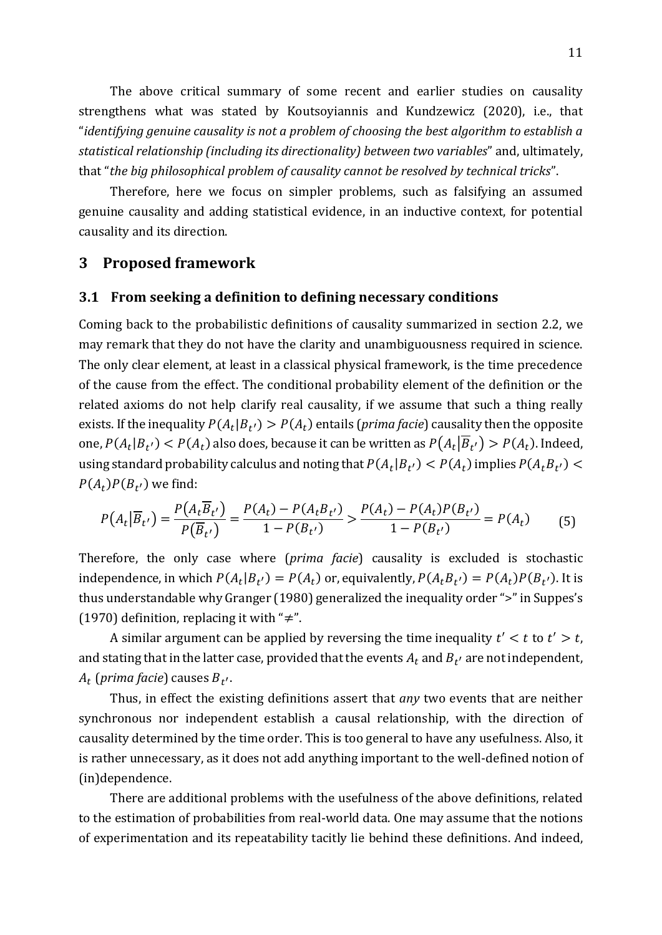The above critical summary of some recent and earlier studies on causality strengthens what was stated by Koutsoyiannis and Kundzewicz (2020), i.e., that "*identifying genuine causality is not a problem of choosing the best algorithm to establish a statistical relationship (including its directionality) between two variables*" and, ultimately, that "*the big philosophical problem of causality cannot be resolved by technical tricks*".

Therefore, here we focus on simpler problems, such as falsifying an assumed genuine causality and adding statistical evidence, in an inductive context, for potential causality and its direction.

# **3 Proposed framework**

#### **3.1 From seeking a definition to defining necessary conditions**

Coming back to the probabilistic definitions of causality summarized in section 2.2, we may remark that they do not have the clarity and unambiguousness required in science. The only clear element, at least in a classical physical framework, is the time precedence of the cause from the effect. The conditional probability element of the definition or the related axioms do not help clarify real causality, if we assume that such a thing really exists. If the inequality  $P(A_t|B_{t'}) > P(A_t)$  entails (*prima facie*) causality then the opposite one,  $P(A_t|B_{t'}) < P(A_t)$  also does, because it can be written as  $P(A_t|B_{t'}) > P(A_t)$ . Indeed, using standard probability calculus and noting that  $P(A_t|B_{t'}) < P(A_t)$  implies  $P(A_tB_{t'}) <$  $P(A_t)P(B_{t'})$  we find:

$$
P(A_t | \overline{B}_{t'}) = \frac{P(A_t \overline{B}_{t'})}{P(\overline{B}_{t'})} = \frac{P(A_t) - P(A_t B_{t'})}{1 - P(B_{t'})} > \frac{P(A_t) - P(A_t)P(B_{t'})}{1 - P(B_{t'})} = P(A_t)
$$
(5)

Therefore, the only case where (*prima facie*) causality is excluded is stochastic independence, in which  $P(A_t|B_{t'}) = P(A_t)$  or, equivalently,  $P(A_tB_{t'}) = P(A_t)P(B_{t'})$ . It is thus understandable why Granger (1980) generalized the inequality order ">" in Suppes's (1970) definition, replacing it with " $\neq$ ".

A similar argument can be applied by reversing the time inequality  $t' < t$  to  $t' > t$ , and stating that in the latter case, provided that the events  $A_t$  and  $B_{t^\prime}$  are not independent,  $A_t$  (prima facie) causes  $B_{t^{\prime}}.$ 

Thus, in effect the existing definitions assert that *any* two events that are neither synchronous nor independent establish a causal relationship, with the direction of causality determined by the time order. This is too general to have any usefulness. Also, it is rather unnecessary, as it does not add anything important to the well-defined notion of (in)dependence.

There are additional problems with the usefulness of the above definitions, related to the estimation of probabilities from real-world data. One may assume that the notions of experimentation and its repeatability tacitly lie behind these definitions. And indeed,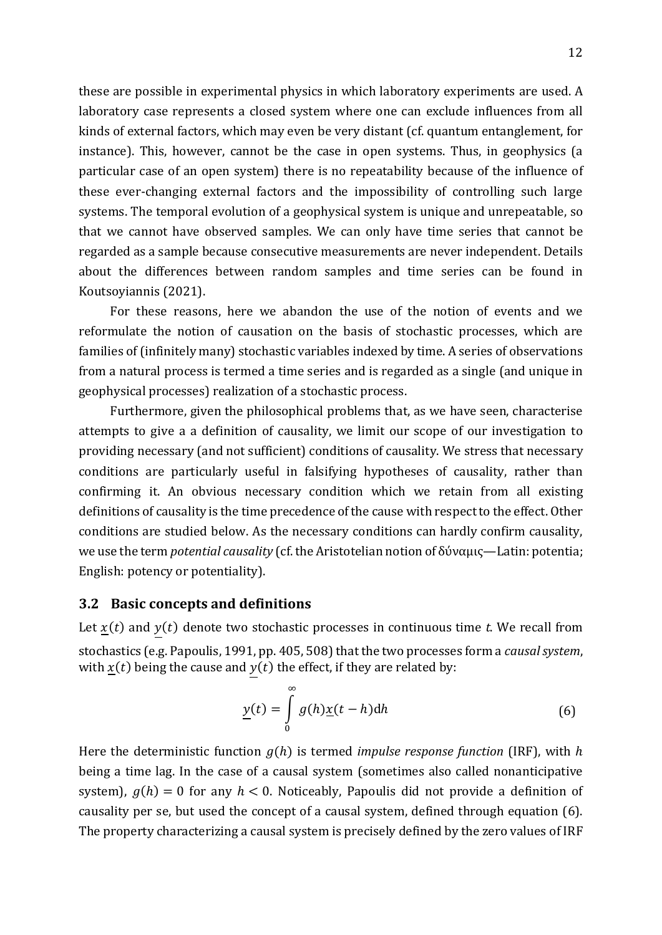these are possible in experimental physics in which laboratory experiments are used. A laboratory case represents a closed system where one can exclude influences from all kinds of external factors, which may even be very distant (cf. quantum entanglement, for instance). This, however, cannot be the case in open systems. Thus, in geophysics (a particular case of an open system) there is no repeatability because of the influence of these ever-changing external factors and the impossibility of controlling such large systems. The temporal evolution of a geophysical system is unique and unrepeatable, so that we cannot have observed samples. We can only have time series that cannot be regarded as a sample because consecutive measurements are never independent. Details about the differences between random samples and time series can be found in Koutsoyiannis (2021).

For these reasons, here we abandon the use of the notion of events and we reformulate the notion of causation on the basis of stochastic processes, which are families of (infinitely many) stochastic variables indexed by time. A series of observations from a natural process is termed a time series and is regarded as a single (and unique in geophysical processes) realization of a stochastic process.

Furthermore, given the philosophical problems that, as we have seen, characterise attempts to give a a definition of causality, we limit our scope of our investigation to providing necessary (and not sufficient) conditions of causality. We stress that necessary conditions are particularly useful in falsifying hypotheses of causality, rather than confirming it. An obvious necessary condition which we retain from all existing definitions of causality is the time precedence of the cause with respect to the effect. Other conditions are studied below. As the necessary conditions can hardly confirm causality, we use the term *potential causality* (cf. the Aristotelian notion of δύναμις—Latin: potentia; English: potency or potentiality).

#### **3.2 Basic concepts and definitions**

Let  $x(t)$  and  $y(t)$  denote two stochastic processes in continuous time *t*. We recall from stochastics (e.g. Papoulis, 1991, pp. 405, 508) that the two processes form a *causal system*, with  $x(t)$  being the cause and  $y(t)$  the effect, if they are related by:

$$
\underline{y}(t) = \int_{0}^{\infty} g(h) \underline{x}(t - h) dh \tag{6}
$$

Here the deterministic function  $q(h)$  is termed *impulse response function* (IRF), with h being a time lag. In the case of a causal system (sometimes also called nonanticipative system),  $g(h) = 0$  for any  $h < 0$ . Noticeably, Papoulis did not provide a definition of causality per se, but used the concept of a causal system, defined through equation (6). The property characterizing a causal system is precisely defined by the zero values of IRF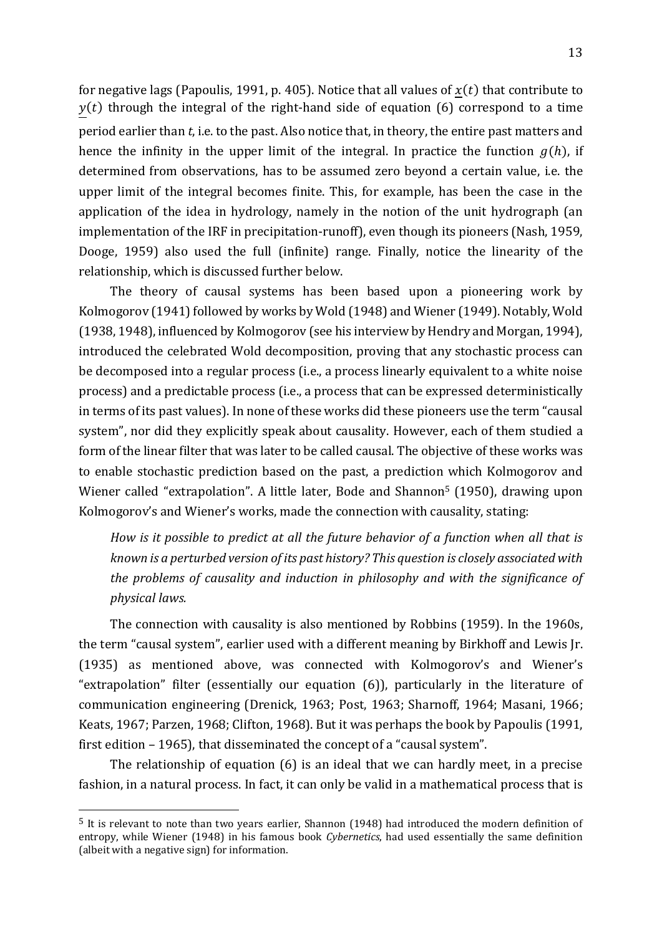for negative lags (Papoulis, 1991, p. 405). Notice that all values of  $x(t)$  that contribute to  $y(t)$  through the integral of the right-hand side of equation (6) correspond to a time period earlier than *t*, i.e. to the past. Also notice that, in theory, the entire past matters and hence the infinity in the upper limit of the integral. In practice the function  $g(h)$ , if determined from observations, has to be assumed zero beyond a certain value, i.e. the upper limit of the integral becomes finite. This, for example, has been the case in the application of the idea in hydrology, namely in the notion of the unit hydrograph (an implementation of the IRF in precipitation-runoff), even though its pioneers (Nash, 1959, Dooge, 1959) also used the full (infinite) range. Finally, notice the linearity of the relationship, which is discussed further below.

The theory of causal systems has been based upon a pioneering work by Kolmogorov (1941) followed by works by Wold (1948) and Wiener (1949). Notably, Wold (1938, 1948), influenced by Kolmogorov (see his interview by Hendry and Morgan, 1994), introduced the celebrated Wold decomposition, proving that any stochastic process can be decomposed into a regular process (i.e., a process linearly equivalent to a white noise process) and a predictable process (i.e., a process that can be expressed deterministically in terms of its past values). In none of these works did these pioneers use the term "causal system", nor did they explicitly speak about causality. However, each of them studied a form of the linear filter that was later to be called causal. The objective of these works was to enable stochastic prediction based on the past, a prediction which Kolmogorov and Wiener called "extrapolation". A little later, Bode and Shannon<sup>5</sup> (1950), drawing upon Kolmogorov's and Wiener's works, made the connection with causality, stating:

*How is it possible to predict at all the future behavior of a function when all that is known is a perturbed version of its past history? This question is closely associated with the problems of causality and induction in philosophy and with the significance of physical laws.*

The connection with causality is also mentioned by Robbins (1959). In the 1960s, the term "causal system", earlier used with a different meaning by Birkhoff and Lewis Jr. (1935) as mentioned above, was connected with Kolmogorov's and Wiener's "extrapolation" filter (essentially our equation (6)), particularly in the literature of communication engineering (Drenick, 1963; Post, 1963; Sharnoff, 1964; Masani, 1966; Keats, 1967; Parzen, 1968; Clifton, 1968). But it was perhaps the book by Papoulis (1991, first edition – 1965), that disseminated the concept of a "causal system".

The relationship of equation (6) is an ideal that we can hardly meet, in a precise fashion, in a natural process. In fact, it can only be valid in a mathematical process that is

<sup>5</sup> It is relevant to note than two years earlier, Shannon (1948) had introduced the modern definition of entropy, while Wiener (1948) in his famous book *Cybernetics*, had used essentially the same definition (albeit with a negative sign) for information.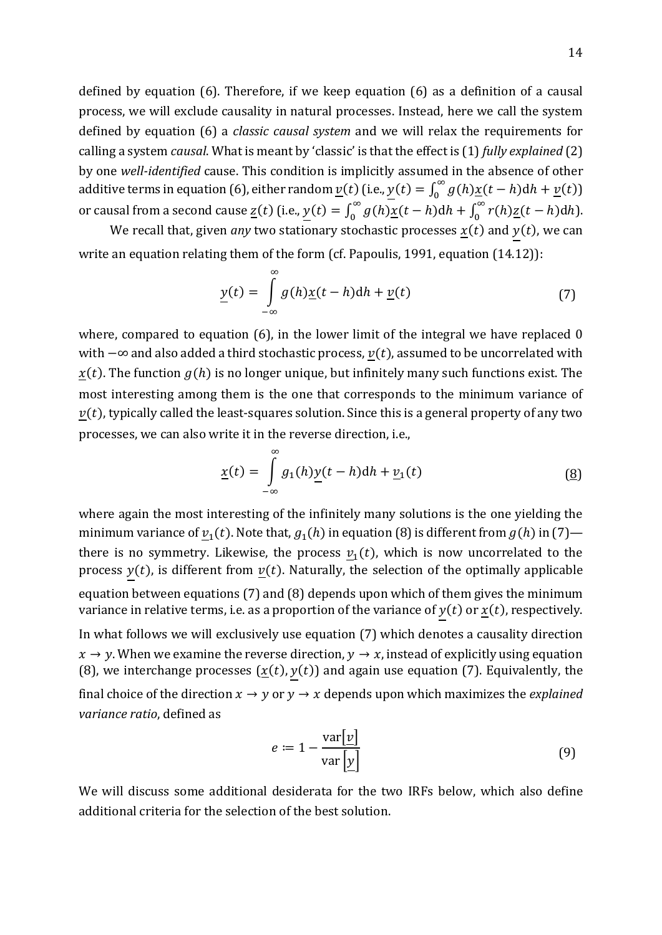defined by equation (6). Therefore, if we keep equation (6) as a definition of a causal process, we will exclude causality in natural processes. Instead, here we call the system defined by equation (6) a *classic causal system* and we will relax the requirements for calling a system *causal*. What is meant by 'classic' is that the effect is (1) *fully explained* (2) by one *well-identified* cause. This condition is implicitly assumed in the absence of other additive terms in equation (6), either random  $\underline{v}(t)$  (i.e.,  $y(t) = \int_0^\infty g(h) \underline{x}(t-h) dh + \underline{v}(t)$ ) 0 or causal from a second cause <u>z</u>(t) (i.e.,  $y(t) = \int_0^\infty g(h) \underline{x}(t-h) dh$  $\int_0^\infty g(h) \underline{x}(t-h) dh + \int_0^\infty r(h) \underline{z}(t-h) dh$  $\int_0^\infty r(h) \underline{z}(t-h) dh$ .

We recall that, given *any* two stationary stochastic processes  $x(t)$  and  $y(t)$ , we can write an equation relating them of the form (cf. Papoulis, 1991, equation (14.12)):

$$
\underline{y}(t) = \int_{-\infty}^{\infty} g(h) \underline{x}(t - h) dh + \underline{v}(t)
$$
\n(7)

where, compared to equation (6), in the lower limit of the integral we have replaced 0 with  $-\infty$  and also added a third stochastic process,  $v(t)$ , assumed to be uncorrelated with  $x(t)$ . The function  $g(h)$  is no longer unique, but infinitely many such functions exist. The most interesting among them is the one that corresponds to the minimum variance of  $v(t)$ , typically called the least-squares solution. Since this is a general property of any two processes, we can also write it in the reverse direction, i.e.,

$$
\underline{x}(t) = \int_{-\infty}^{\infty} g_1(h) \underline{y}(t-h) dh + \underline{v}_1(t)
$$
 (8)

where again the most interesting of the infinitely many solutions is the one yielding the minimum variance of  $v_1(t)$ . Note that,  $g_1(h)$  in equation (8) is different from  $g(h)$  in (7) there is no symmetry. Likewise, the process  $v_1(t)$ , which is now uncorrelated to the process  $y(t)$ , is different from  $y(t)$ . Naturally, the selection of the optimally applicable equation between equations (7) and (8) depends upon which of them gives the minimum variance in relative terms, i.e. as a proportion of the variance of  $y(t)$  or  $\underline{x}(t)$ , respectively. In what follows we will exclusively use equation (7) which denotes a causality direction  $x \rightarrow y$ . When we examine the reverse direction,  $y \rightarrow x$ , instead of explicitly using equation (8), we interchange processes  $(\underline{x}(t), y(t))$  and again use equation (7). Equivalently, the final choice of the direction  $x \to y$  or  $y \to x$  depends upon which maximizes the *explained variance ratio*, defined as

$$
e := 1 - \frac{\text{var}[\underline{v}]}{\text{var}[\underline{y}]}
$$
(9)

We will discuss some additional desiderata for the two IRFs below, which also define additional criteria for the selection of the best solution.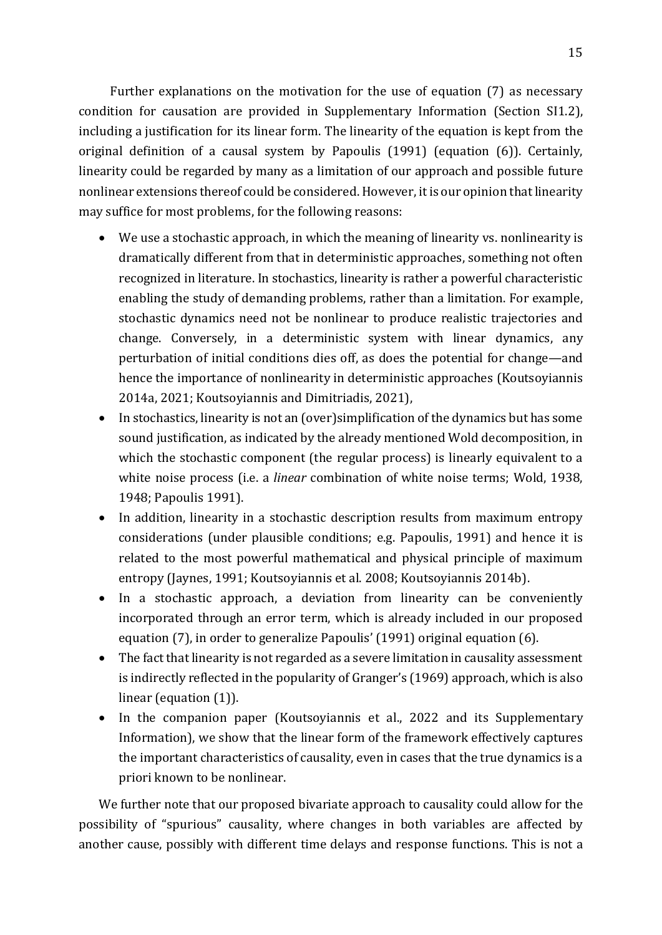Further explanations on the motivation for the use of equation (7) as necessary condition for causation are provided in Supplementary Information (Section SI1.2), including a justification for its linear form. The linearity of the equation is kept from the original definition of a causal system by Papoulis (1991) (equation (6)). Certainly, linearity could be regarded by many as a limitation of our approach and possible future nonlinear extensions thereof could be considered. However, it is our opinion that linearity may suffice for most problems, for the following reasons:

- We use a stochastic approach, in which the meaning of linearity vs. nonlinearity is dramatically different from that in deterministic approaches, something not often recognized in literature. In stochastics, linearity is rather a powerful characteristic enabling the study of demanding problems, rather than a limitation. For example, stochastic dynamics need not be nonlinear to produce realistic trajectories and change. Conversely, in a deterministic system with linear dynamics, any perturbation of initial conditions dies off, as does the potential for change—and hence the importance of nonlinearity in deterministic approaches (Koutsoyiannis 2014a, 2021; Koutsoyiannis and Dimitriadis, 2021),
- In stochastics, linearity is not an (over)simplification of the dynamics but has some sound justification, as indicated by the already mentioned Wold decomposition, in which the stochastic component (the regular process) is linearly equivalent to a white noise process (i.e. a *linear* combination of white noise terms; Wold, 1938, 1948; Papoulis 1991).
- In addition, linearity in a stochastic description results from maximum entropy considerations (under plausible conditions; e.g. Papoulis, 1991) and hence it is related to the most powerful mathematical and physical principle of maximum entropy (Jaynes, 1991; Koutsoyiannis et al. 2008; Koutsoyiannis 2014b).
- In a stochastic approach, a deviation from linearity can be conveniently incorporated through an error term, which is already included in our proposed equation (7), in order to generalize Papoulis' (1991) original equation (6).
- The fact that linearity is not regarded as a severe limitation in causality assessment is indirectly reflected in the popularity of Granger's (1969) approach, which is also linear (equation (1)).
- In the companion paper (Koutsoyiannis et al., 2022 and its Supplementary Information), we show that the linear form of the framework effectively captures the important characteristics of causality, even in cases that the true dynamics is a priori known to be nonlinear.

We further note that our proposed bivariate approach to causality could allow for the possibility of "spurious" causality, where changes in both variables are affected by another cause, possibly with different time delays and response functions. This is not a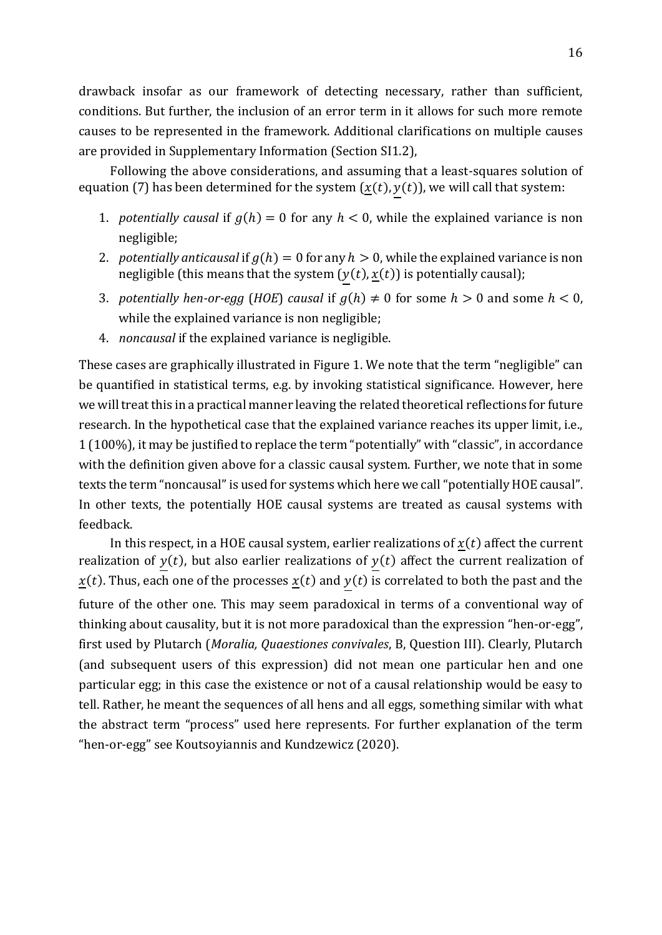drawback insofar as our framework of detecting necessary, rather than sufficient, conditions. But further, the inclusion of an error term in it allows for such more remote causes to be represented in the framework. Additional clarifications on multiple causes are provided in Supplementary Information (Section SI1.2),

Following the above considerations, and assuming that a least-squares solution of equation (7) has been determined for the system  $(\underline{x}(t), y(t))$ , we will call that system:

- 1. *potentially causal* if  $g(h) = 0$  for any  $h < 0$ , while the explained variance is non negligible;
- 2. *potentially anticausal* if  $g(h) = 0$  for any  $h > 0$ , while the explained variance is non negligible (this means that the system  $(y(t), \underline{x}(t))$  is potentially causal);
- 3. *potentially hen-or-egg* (*HOE*) *causal* if  $g(h) \neq 0$  for some  $h > 0$  and some  $h < 0$ , while the explained variance is non negligible;
- 4. *noncausal* if the explained variance is negligible.

These cases are graphically illustrated in Figure 1. We note that the term "negligible" can be quantified in statistical terms, e.g. by invoking statistical significance. However, here we will treat this in a practical manner leaving the related theoretical reflections for future research. In the hypothetical case that the explained variance reaches its upper limit, i.e., 1 (100%), it may be justified to replace the term "potentially" with "classic", in accordance with the definition given above for a classic causal system. Further, we note that in some texts the term "noncausal" is used for systems which here we call "potentially HOE causal". In other texts, the potentially HOE causal systems are treated as causal systems with feedback.

In this respect, in a HOE causal system, earlier realizations of  $x(t)$  affect the current realization of  $y(t)$ , but also earlier realizations of  $y(t)$  affect the current realization of  $\underline{x}(t)$ . Thus, each one of the processes  $\underline{x}(t)$  and  $y(t)$  is correlated to both the past and the future of the other one. This may seem paradoxical in terms of a conventional way of thinking about causality, but it is not more paradoxical than the expression "hen-or-egg", first used by Plutarch (*Moralia, Quaestiones convivales*, B, Question III). Clearly, Plutarch (and subsequent users of this expression) did not mean one particular hen and one particular egg; in this case the existence or not of a causal relationship would be easy to tell. Rather, he meant the sequences of all hens and all eggs, something similar with what the abstract term "process" used here represents. For further explanation of the term "hen-or-egg" see Koutsoyiannis and Kundzewicz (2020).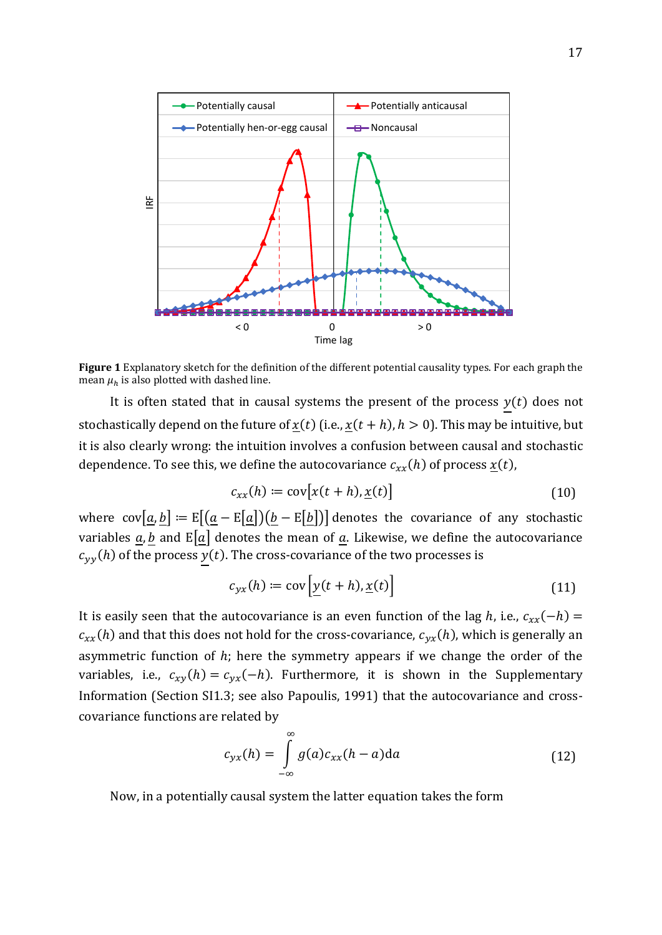

**Figure 1** Explanatory sketch for the definition of the different potential causality types. For each graph the mean  $\mu_h$  is also plotted with dashed line.

It is often stated that in causal systems the present of the process  $y(t)$  does not stochastically depend on the future of  $x(t)$  (i.e.,  $x(t + h)$ ,  $h > 0$ ). This may be intuitive, but it is also clearly wrong: the intuition involves a confusion between causal and stochastic dependence. To see this, we define the autocovariance  $c_{xx}(h)$  of process  $\underline{x}(t)$ ,

$$
c_{xx}(h) \coloneqq \text{cov}[x(t+h), \underline{x}(t)] \tag{10}
$$

where  $cov[\underline{a}, b] := E[(\underline{a} - E[\underline{a}])(b - E[b])]$  denotes the covariance of any stochastic variables  $\underline{a}$ ,  $\underline{b}$  and  $E[\underline{a}]$  denotes the mean of  $\underline{a}$ . Likewise, we define the autocovariance  $c_{yy}(h)$  of the process  $y(t)$ . The cross-covariance of the two processes is

$$
c_{yx}(h) := \text{cov}\left[\underline{y}(t+h), \underline{x}(t)\right] \tag{11}
$$

It is easily seen that the autocovariance is an even function of the lag *h*, i.e.,  $c_{xx}(-h)$  =  $c_{xx}(h)$  and that this does not hold for the cross-covariance,  $c_{yx}(h)$ , which is generally an asymmetric function of  $h$ ; here the symmetry appears if we change the order of the variables, i.e.,  $c_{xy}(h) = c_{yx}(-h)$ . Furthermore, it is shown in the Supplementary Information (Section SI1.3; see also Papoulis, 1991) that the autocovariance and crosscovariance functions are related by

$$
c_{yx}(h) = \int_{-\infty}^{\infty} g(a)c_{xx}(h-a)da
$$
 (12)

Now, in a potentially causal system the latter equation takes the form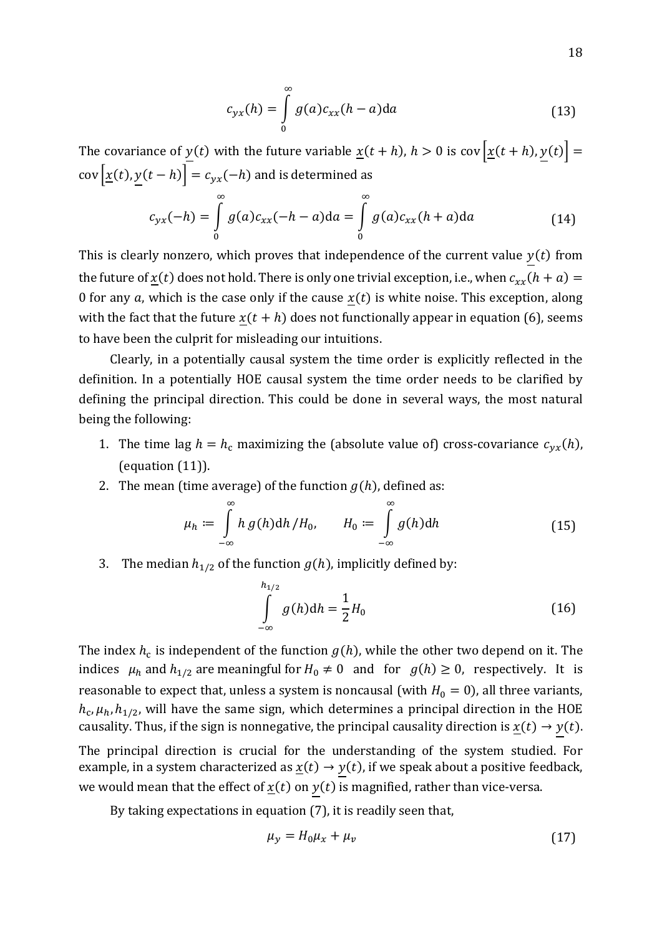$$
c_{yx}(h) = \int_{0}^{\infty} g(a)c_{xx}(h-a)da
$$
 (13)

The covariance of  $\underline{y}(t)$  with the future variable  $\underline{x}(t + h)$ ,  $h > 0$  is cov  $\underline{x}(t + h)$ ,  $y(t)$  =  $cov\left[\underline{x}(t), \underline{y}(t-h)\right] = c_{yx}(-h)$  and is determined as

$$
c_{yx}(-h) = \int_{0}^{\infty} g(a)c_{xx}(-h-a)da = \int_{0}^{\infty} g(a)c_{xx}(h+a)da
$$
 (14)

This is clearly nonzero, which proves that independence of the current value  $y(t)$  from the future of  $x(t)$  does not hold. There is only one trivial exception, i.e., when  $c_{xx}(h + a) =$ 0 for any a, which is the case only if the cause  $x(t)$  is white noise. This exception, along with the fact that the future  $\underline{x}(t + h)$  does not functionally appear in equation (6), seems to have been the culprit for misleading our intuitions.

Clearly, in a potentially causal system the time order is explicitly reflected in the definition. In a potentially HOE causal system the time order needs to be clarified by defining the principal direction. This could be done in several ways, the most natural being the following:

- 1. The time lag  $h = h_c$  maximizing the (absolute value of) cross-covariance  $c_{yx}(h)$ , (equation (11)).
- 2. The mean (time average) of the function  $g(h)$ , defined as:

$$
\mu_h \coloneqq \int\limits_{-\infty}^{\infty} h \, g(h) \mathrm{d}h \, / H_0, \qquad H_0 \coloneqq \int\limits_{-\infty}^{\infty} g(h) \mathrm{d}h \tag{15}
$$

3. The median  $h_{1/2}$  of the function  $g(h)$ , implicitly defined by:

$$
\int_{-\infty}^{h_{1/2}} g(h) dh = \frac{1}{2} H_0
$$
\n(16)

The index  $h_\mathsf{c}$  is independent of the function  $g(h)$ , while the other two depend on it. The indices  $\mu_h$  and  $h_{1/2}$  are meaningful for  $H_0 \neq 0$  and for  $g(h) \geq 0$ , respectively. It is reasonable to expect that, unless a system is noncausal (with  $H_0 = 0$ ), all three variants,  $h_{\rm c}, \mu_h, h_{1/2}$ , will have the same sign, which determines a principal direction in the HOE causality. Thus, if the sign is nonnegative, the principal causality direction is  $\underline{x}(t) \rightarrow y(t)$ . The principal direction is crucial for the understanding of the system studied. For

example, in a system characterized as  $\underline{x}(t) \rightarrow y(t)$ , if we speak about a positive feedback, we would mean that the effect of  $\underline{x}(t)$  on  $y(t)$  is magnified, rather than vice-versa.

By taking expectations in equation (7), it is readily seen that,

$$
\mu_y = H_0 \mu_x + \mu_v \tag{17}
$$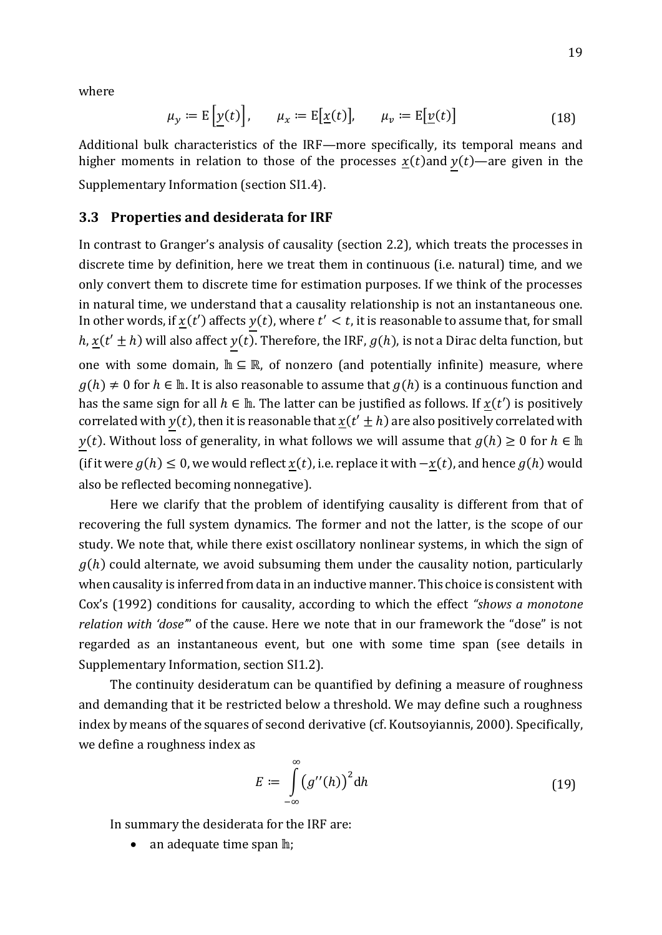where

$$
\mu_{y} := \mathbb{E}\left[\underline{y}(t)\right], \qquad \mu_{x} := \mathbb{E}\left[\underline{x}(t)\right], \qquad \mu_{v} := \mathbb{E}\left[\underline{v}(t)\right] \tag{18}
$$

Additional bulk characteristics of the IRF—more specifically, its temporal means and higher moments in relation to those of the processes  $\underline{x}(t)$  and  $y(t)$ —are given in the Supplementary Information (section SI1.4).

### **3.3 Properties and desiderata for IRF**

In contrast to Granger's analysis of causality (section 2.2), which treats the processes in discrete time by definition, here we treat them in continuous (i.e. natural) time, and we only convert them to discrete time for estimation purposes. If we think of the processes in natural time, we understand that a causality relationship is not an instantaneous one. In other words, if  $\underline{x}(t')$  affects  $y(t)$ , where  $t' < t$ , it is reasonable to assume that, for small  $h, \underline{x}(t' \pm h)$  will also affect  $y(t)$ . Therefore, the IRF,  $g(h)$ , is not a Dirac delta function, but one with some domain,  $\mathbb{h} \subseteq \mathbb{R}$ , of nonzero (and potentially infinite) measure, where  $g(h) \neq 0$  for  $h \in \mathbb{h}$ . It is also reasonable to assume that  $g(h)$  is a continuous function and has the same sign for all  $h \in \mathbb{h}$ . The latter can be justified as follows. If  $x(t')$  is positively correlated with  $y(t)$ , then it is reasonable that  $\underline{x}(t' \pm h)$  are also positively correlated with  $y(t)$ . Without loss of generality, in what follows we will assume that  $g(h) \ge 0$  for  $h \in \mathbb{R}$ (if it were  $g(h) \leq 0$ , we would reflect  $\underline{x}(t)$ , i.e. replace it with  $-\underline{x}(t)$ , and hence  $g(h)$  would also be reflected becoming nonnegative).

Here we clarify that the problem of identifying causality is different from that of recovering the full system dynamics. The former and not the latter, is the scope of our study. We note that, while there exist oscillatory nonlinear systems, in which the sign of  $g(h)$  could alternate, we avoid subsuming them under the causality notion, particularly when causality is inferred from data in an inductive manner. This choice is consistent with Cox's (1992) conditions for causality, according to which the effect *"shows a monotone relation with 'dose'*" of the cause. Here we note that in our framework the "dose" is not regarded as an instantaneous event, but one with some time span (see details in Supplementary Information, section SI1.2).

The continuity desideratum can be quantified by defining a measure of roughness and demanding that it be restricted below a threshold. We may define such a roughness index by means of the squares of second derivative (cf. Koutsoyiannis, 2000). Specifically, we define a roughness index as

$$
E := \int_{-\infty}^{\infty} (g''(h))^2 dh
$$
 (19)

In summary the desiderata for the IRF are:

 $\bullet$  an adequate time span  $\mathbb{h}$ :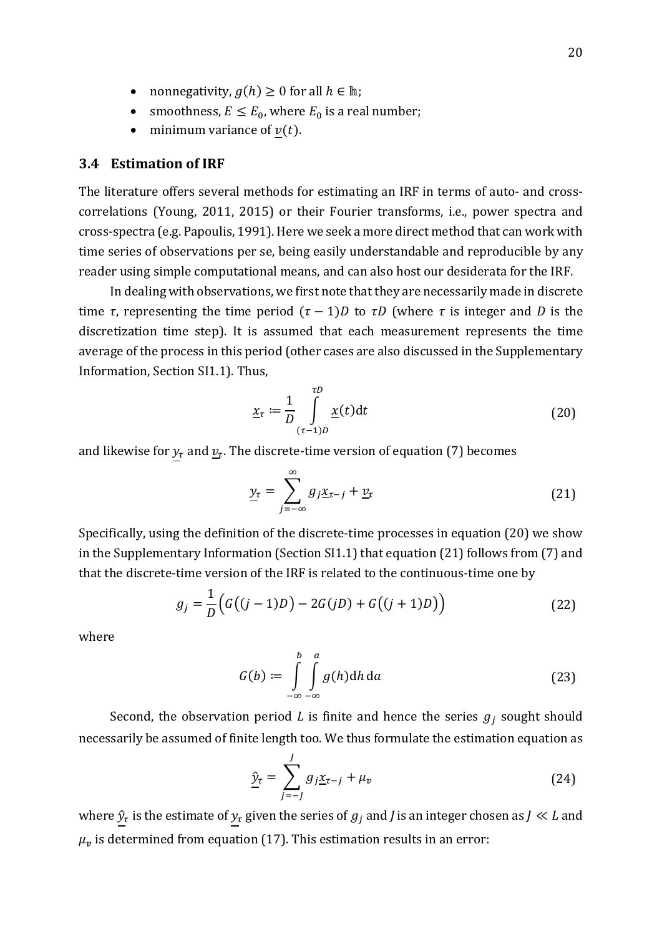- nonnegativity,  $g(h) \geq 0$  for all  $h \in \mathbb{h}$ ;
- smoothness,  $E \le E_0$ , where  $E_0$  is a real number;
- minimum variance of  $v(t)$ .

# **3.4 Estimation of IRF**

The literature offers several methods for estimating an IRF in terms of auto- and crosscorrelations (Young, 2011, 2015) or their Fourier transforms, i.e., power spectra and cross-spectra (e.g. Papoulis, 1991). Here we seek a more direct method that can work with time series of observations per se, being easily understandable and reproducible by any reader using simple computational means, and can also host our desiderata for the IRF.

In dealing with observations, we first note that they are necessarily made in discrete time *τ*, representing the time period  $(τ – 1)D$  to  $τD$  (where *τ* is integer and *D* is the discretization time step). It is assumed that each measurement represents the time average of the process in this period (other cases are also discussed in the Supplementary Information, Section SI1.1). Thus,

$$
\underline{x}_{\tau} := \frac{1}{D} \int_{(\tau - 1)D}^{\tau D} \underline{x}(t) dt
$$
\n(20)

and likewise for  $y_\tau$  and  $\underline{v}_\tau.$  The discrete-time version of equation (7) becomes

$$
\underline{y}_{\tau} = \sum_{j=-\infty}^{\infty} g_j \underline{x}_{\tau-j} + \underline{v}_{\tau}
$$
\n(21)

Specifically, using the definition of the discrete-time processes in equation (20) we show in the Supplementary Information (Section SI1.1) that equation (21) follows from (7) and that the discrete-time version of the IRF is related to the continuous-time one by

$$
g_j = \frac{1}{D} (G((j-1)D) - 2G(jD) + G((j+1)D))
$$
\n(22)

where

$$
G(b) := \int_{-\infty}^{b} \int_{-\infty}^{a} g(h) dh \, da \tag{23}
$$

Second, the observation period *L* is finite and hence the series  $g_j$  sought should necessarily be assumed of finite length too. We thus formulate the estimation equation as

$$
\hat{\mathbf{y}}_{\tau} = \sum_{j=-J}^{J} g_j \underline{\mathbf{x}}_{\tau-j} + \mu_v \tag{24}
$$

where  $\hat{y}_\tau$  is the estimate of  $y_\tau$  given the series of  $g_j$  and  $J$  is an integer chosen as  $J\ll L$  and  $\mu_{\nu}$  is determined from equation (17). This estimation results in an error: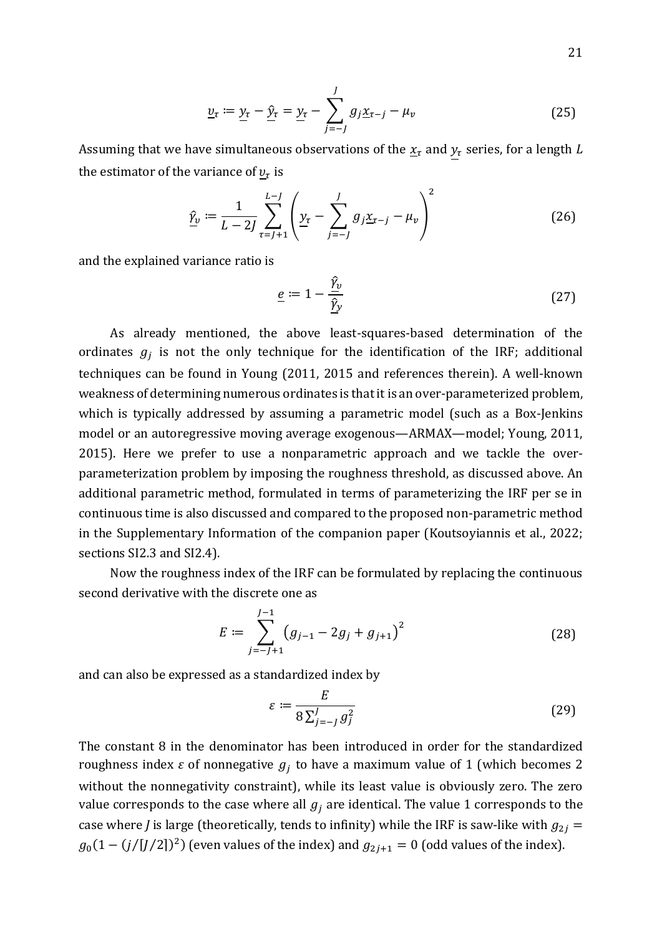$$
\underline{v}_{\tau} := \underline{y}_{\tau} - \underline{\hat{y}}_{\tau} = \underline{y}_{\tau} - \sum_{j=-J}^{J} g_j \underline{x}_{\tau-j} - \mu_v
$$
\n(25)

Assuming that we have simultaneous observations of the  $\underline{x}_{\tau}$  and  $y_{\tau}$  series, for a length *L* the estimator of the variance of  $\mathcal{v}_\tau$  is

$$
\hat{\underline{\gamma}}_{\nu} := \frac{1}{L - 2J} \sum_{\tau = J + 1}^{L - J} \left( \underline{y}_{\tau} - \sum_{j = -J}^{J} g_j \underline{x}_{\tau - j} - \mu_{\nu} \right)^2 \tag{26}
$$

and the explained variance ratio is

$$
\underline{e} := 1 - \frac{\hat{\gamma}_v}{\hat{\gamma}_y} \tag{27}
$$

As already mentioned, the above least-squares-based determination of the ordinates  $g_j$  is not the only technique for the identification of the IRF; additional techniques can be found in Young (2011, 2015 and references therein). A well-known weakness of determining numerous ordinates is that it is an over-parameterized problem, which is typically addressed by assuming a parametric model (such as a Box-Jenkins model or an autoregressive moving average exogenous—ARMAX—model; Young, 2011, 2015). Here we prefer to use a nonparametric approach and we tackle the overparameterization problem by imposing the roughness threshold, as discussed above. An additional parametric method, formulated in terms of parameterizing the IRF per se in continuous time is also discussed and compared to the proposed non-parametric method in the Supplementary Information of the companion paper (Koutsoyiannis et al., 2022; sections SI2.3 and SI2.4).

Now the roughness index of the IRF can be formulated by replacing the continuous second derivative with the discrete one as

$$
E := \sum_{j=-J+1}^{J-1} (g_{j-1} - 2g_j + g_{j+1})^2
$$
 (28)

and can also be expressed as a standardized index by

$$
\varepsilon := \frac{E}{8\sum_{j=-J}^{J} g_j^2} \tag{29}
$$

The constant 8 in the denominator has been introduced in order for the standardized roughness index  $\varepsilon$  of nonnegative  $g_j$  to have a maximum value of 1 (which becomes 2 without the nonnegativity constraint), while its least value is obviously zero. The zero value corresponds to the case where all  $g_i$  are identical. The value 1 corresponds to the case where *J* is large (theoretically, tends to infinity) while the IRF is saw-like with  $g_{2i}$  =  $g_0(1 - (j/[J/2])^2)$  (even values of the index) and  $g_{2j+1} = 0$  (odd values of the index).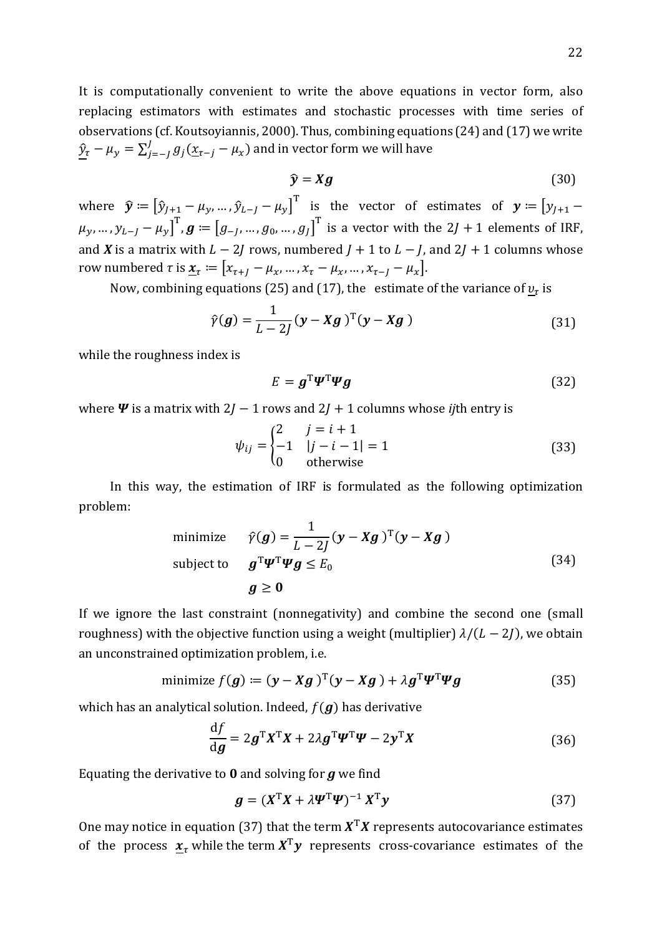It is computationally convenient to write the above equations in vector form, also replacing estimators with estimates and stochastic processes with time series of observations (cf. Koutsoyiannis, 2000). Thus, combining equations (24) and (17) we write  $\frac{\hat{y}_\tau - \mu_y = \sum_{j=-J}^J g_j (\underline{x}_{\tau-j} - \mu_x)$  and in vector form we will have

$$
\hat{\mathbf{y}} = Xg \tag{30}
$$

where  $\widehat{\mathbf{y}} \coloneqq \begin{bmatrix} \widehat{y}_{J+1} - \mu_{\mathcal{Y}}, ..., \widehat{y}_{L-J} - \mu_{\mathcal{Y}} \end{bmatrix}^{\text{T}}$  is the vector of estimates of  $\mathbf{y} \coloneqq \begin{bmatrix} y_{J+1} - \mu_{\mathcal{Y}} \end{bmatrix}$  $\mu_y,...,\allowbreak y_{L-J}-\mu_y\big]^{\text{T}}$ ,  $\boldsymbol{g}\coloneqq\big[g_{-I},...,g_0,...,g_J\big]^{\text{T}}$  is a vector with the 2J + 1 elements of IRF, and *X* is a matrix with  $L - 2J$  rows, numbered  $J + 1$  to  $L - J$ , and  $2J + 1$  columns whose row numbered  $\tau$  is  $\underline{\mathbf{x}}_{\tau} := [x_{\tau+1} - \mu_x, ..., x_{\tau} - \mu_x, ..., x_{\tau-1} - \mu_x].$ 

Now, combining equations (25) and (17), the estimate of the variance of  $\underline{v}_{\tau}$  is

$$
\hat{\gamma}(\boldsymbol{g}) = \frac{1}{L - 2J} (\mathbf{y} - \mathbf{X}\boldsymbol{g})^{\mathrm{T}} (\mathbf{y} - \mathbf{X}\boldsymbol{g})
$$
\n(31)

while the roughness index is

$$
E = \boldsymbol{g}^{\mathrm{T}} \boldsymbol{\Psi}^{\mathrm{T}} \boldsymbol{\Psi} \boldsymbol{g} \tag{32}
$$

where  $\Psi$  is a matrix with 2*J* − 1 rows and 2*J* + 1 columns whose *ij*th entry is

$$
\psi_{ij} = \begin{cases}\n2 & j = i + 1 \\
-1 & |j - i - 1| = 1 \\
0 & \text{otherwise}\n\end{cases}
$$
\n(33)

In this way, the estimation of IRF is formulated as the following optimization problem:

minimize 
$$
\hat{\gamma}(g) = \frac{1}{L - 2j} (y - Xg)^T (y - Xg)
$$
  
subject to  $g^T \Psi^T \Psi g \le E_0$  (34)  
 $g \ge 0$ 

If we ignore the last constraint (nonnegativity) and combine the second one (small roughness) with the objective function using a weight (multiplier)  $\lambda/(L-2J)$ , we obtain an unconstrained optimization problem, i.e.

minimize 
$$
f(g) \coloneqq (y - Xg)^T (y - Xg) + \lambda g^T \Psi^T \Psi g
$$
 (35)

which has an analytical solution. Indeed,  $f(g)$  has derivative

$$
\frac{\mathrm{d}f}{\mathrm{d}\mathbf{g}} = 2\mathbf{g}^{\mathrm{T}}\mathbf{X}^{\mathrm{T}}\mathbf{X} + 2\lambda\mathbf{g}^{\mathrm{T}}\mathbf{\Psi}^{\mathrm{T}}\mathbf{\Psi} - 2\mathbf{y}^{\mathrm{T}}\mathbf{X} \tag{36}
$$

Equating the derivative to **0** and solving for *g* we find

$$
\mathbf{g} = (X^{\mathrm{T}}X + \lambda \mathbf{\Psi}^{\mathrm{T}}\mathbf{\Psi})^{-1} X^{\mathrm{T}} \mathbf{y}
$$
(37)

One may notice in equation (37) that the term  $X^{T}X$  represents autocovariance estimates of the process  $\underline{x}_{\tau}$  while the term  $X^{T}y$  represents cross-covariance estimates of the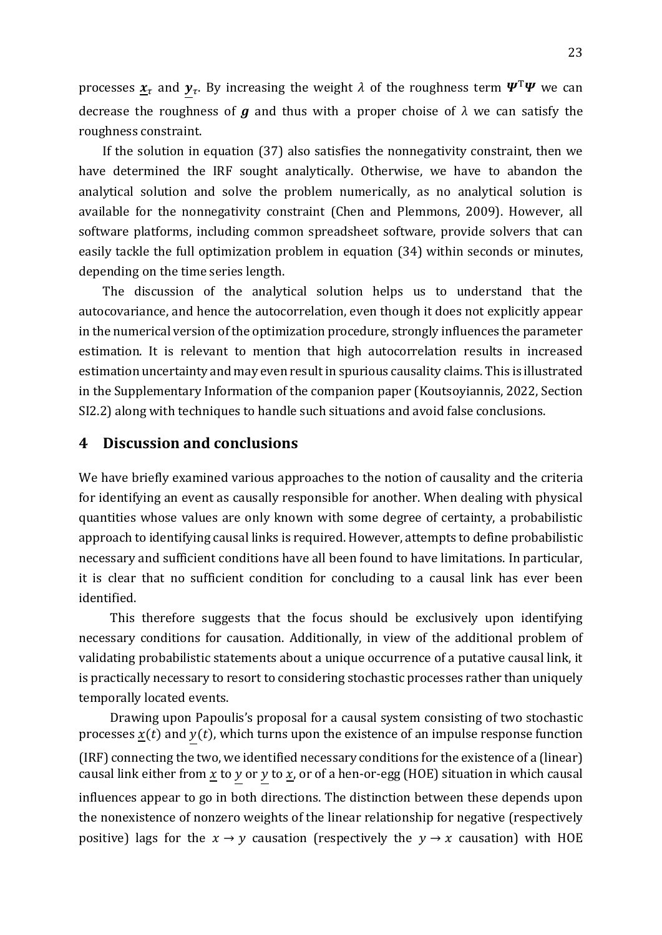processes  $\underline{x}_{\tau}$  and  $\underline{y}_{\tau}.$  By increasing the weight  $\lambda$  of the roughness term  $\bm{\varPsi}^{\text{T}}\bm{\varPsi}$  we can decrease the roughness of *g* and thus with a proper choise of *λ* we can satisfy the roughness constraint.

If the solution in equation (37) also satisfies the nonnegativity constraint, then we have determined the IRF sought analytically. Otherwise, we have to abandon the analytical solution and solve the problem numerically, as no analytical solution is available for the nonnegativity constraint (Chen and Plemmons, 2009). However, all software platforms, including common spreadsheet software, provide solvers that can easily tackle the full optimization problem in equation (34) within seconds or minutes, depending on the time series length.

The discussion of the analytical solution helps us to understand that the autocovariance, and hence the autocorrelation, even though it does not explicitly appear in the numerical version of the optimization procedure, strongly influences the parameter estimation. It is relevant to mention that high autocorrelation results in increased estimation uncertainty and may even result in spurious causality claims. This is illustrated in the Supplementary Information of the companion paper (Koutsoyiannis, 2022, Section SI2.2) along with techniques to handle such situations and avoid false conclusions.

# **4 Discussion and conclusions**

We have briefly examined various approaches to the notion of causality and the criteria for identifying an event as causally responsible for another. When dealing with physical quantities whose values are only known with some degree of certainty, a probabilistic approach to identifying causal links is required. However, attempts to define probabilistic necessary and sufficient conditions have all been found to have limitations. In particular, it is clear that no sufficient condition for concluding to a causal link has ever been identified.

This therefore suggests that the focus should be exclusively upon identifying necessary conditions for causation. Additionally, in view of the additional problem of validating probabilistic statements about a unique occurrence of a putative causal link, it is practically necessary to resort to considering stochastic processes rather than uniquely temporally located events.

Drawing upon Papoulis's proposal for a causal system consisting of two stochastic processes  $\underline{x}(t)$  and  $y(t)$ , which turns upon the existence of an impulse response function (IRF) connecting the two, we identified necessary conditions for the existence of a (linear) causal link either from  $\underline{x}$  to  $y$  or  $y$  to  $\underline{x}$ , or of a hen-or-egg (HOE) situation in which causal influences appear to go in both directions. The distinction between these depends upon the nonexistence of nonzero weights of the linear relationship for negative (respectively positive) lags for the  $x \to y$  causation (respectively the  $y \to x$  causation) with HOE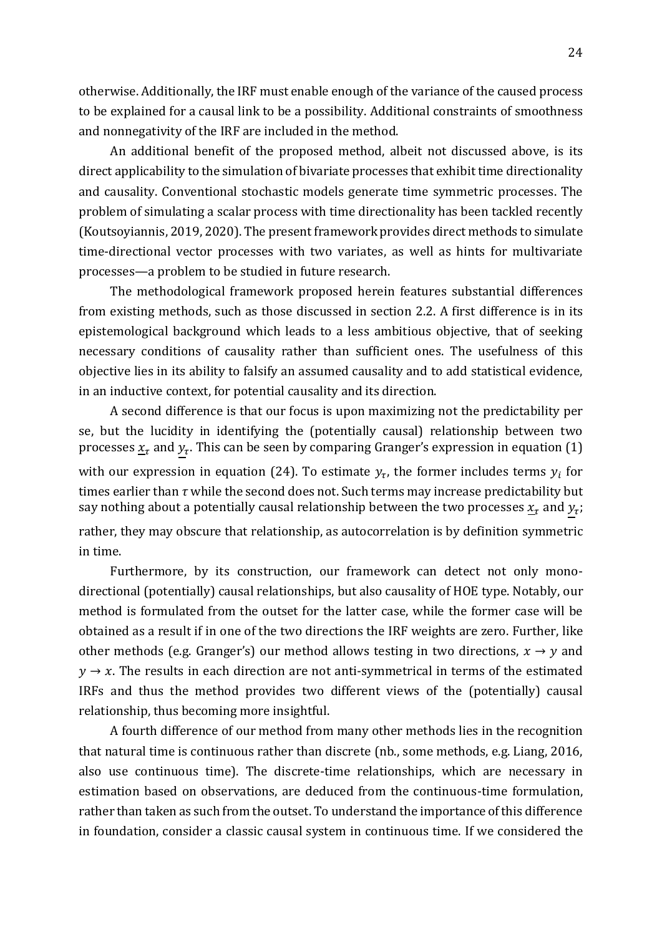otherwise. Additionally, the IRF must enable enough of the variance of the caused process to be explained for a causal link to be a possibility. Additional constraints of smoothness and nonnegativity of the IRF are included in the method.

An additional benefit of the proposed method, albeit not discussed above, is its direct applicability to the simulation of bivariate processes that exhibit time directionality and causality. Conventional stochastic models generate time symmetric processes. The problem of simulating a scalar process with time directionality has been tackled recently (Koutsoyiannis, 2019, 2020). The present framework provides direct methods to simulate time-directional vector processes with two variates, as well as hints for multivariate processes—a problem to be studied in future research.

The methodological framework proposed herein features substantial differences from existing methods, such as those discussed in section 2.2. A first difference is in its epistemological background which leads to a less ambitious objective, that of seeking necessary conditions of causality rather than sufficient ones. The usefulness of this objective lies in its ability to falsify an assumed causality and to add statistical evidence, in an inductive context, for potential causality and its direction.

A second difference is that our focus is upon maximizing not the predictability per se, but the lucidity in identifying the (potentially causal) relationship between two processes  $\underline{x}_{\tau}$  and  $y_{\tau}.$  This can be seen by comparing Granger's expression in equation (1) with our expression in equation (24). To estimate  $y_\tau$ , the former includes terms  $y_i$  for times earlier than *τ* while the second does not. Such terms may increase predictability but say nothing about a potentially causal relationship between the two processes  $\underline{x}_{\tau}$  and  $y_{\tau}$ ; rather, they may obscure that relationship, as autocorrelation is by definition symmetric in time.

Furthermore, by its construction, our framework can detect not only monodirectional (potentially) causal relationships, but also causality of HOE type. Notably, our method is formulated from the outset for the latter case, while the former case will be obtained as a result if in one of the two directions the IRF weights are zero. Further, like other methods (e.g. Granger's) our method allows testing in two directions,  $x \to y$  and  $y \rightarrow x$ . The results in each direction are not anti-symmetrical in terms of the estimated IRFs and thus the method provides two different views of the (potentially) causal relationship, thus becoming more insightful.

A fourth difference of our method from many other methods lies in the recognition that natural time is continuous rather than discrete (nb., some methods, e.g. Liang, 2016, also use continuous time). The discrete-time relationships, which are necessary in estimation based on observations, are deduced from the continuous-time formulation, rather than taken as such from the outset. To understand the importance of this difference in foundation, consider a classic causal system in continuous time. If we considered the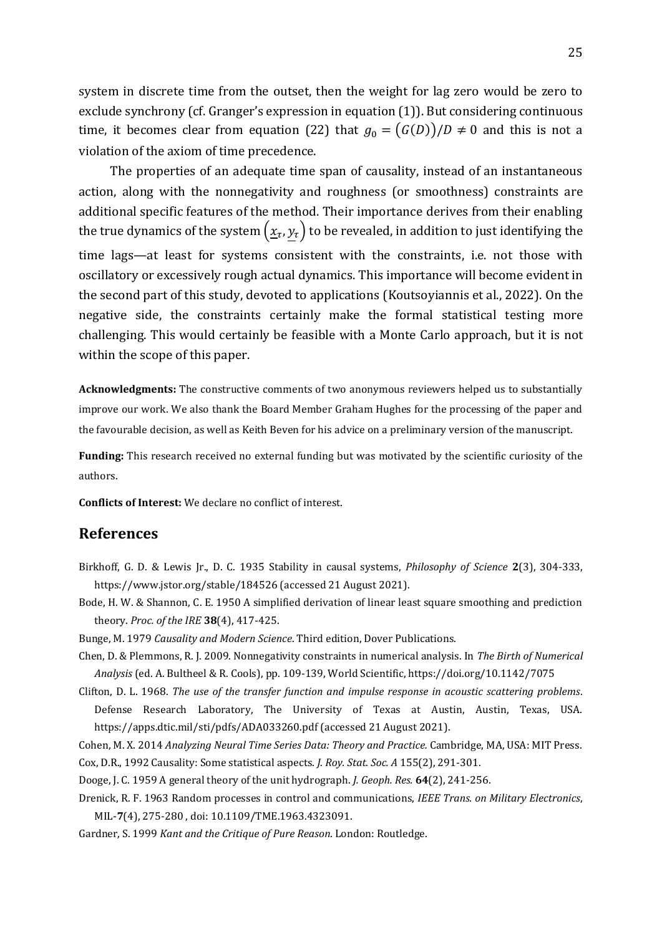system in discrete time from the outset, then the weight for lag zero would be zero to exclude synchrony (cf. Granger's expression in equation (1)). But considering continuous time, it becomes clear from equation (22) that  $g_0 = (G(D))/D \neq 0$  and this is not a violation of the axiom of time precedence.

The properties of an adequate time span of causality, instead of an instantaneous action, along with the nonnegativity and roughness (or smoothness) constraints are additional specific features of the method. Their importance derives from their enabling the true dynamics of the system  $(\underline{x}_{\tau},\underline{y}_{\tau})$  to be revealed, in addition to just identifying the time lags—at least for systems consistent with the constraints, i.e. not those with oscillatory or excessively rough actual dynamics. This importance will become evident in the second part of this study, devoted to applications (Koutsoyiannis et al., 2022). On the negative side, the constraints certainly make the formal statistical testing more challenging. This would certainly be feasible with a Monte Carlo approach, but it is not within the scope of this paper.

**Acknowledgments:** The constructive comments of two anonymous reviewers helped us to substantially improve our work. We also thank the Board Member Graham Hughes for the processing of the paper and the favourable decision, as well as Keith Beven for his advice on a preliminary version of the manuscript.

**Funding:** This research received no external funding but was motivated by the scientific curiosity of the authors.

**Conflicts of Interest:** We declare no conflict of interest.

# **References**

- Birkhoff, G. D. & Lewis Jr., D. C. 1935 Stability in causal systems, *Philosophy of Science* **2**(3), 304-333, https://www.jstor.org/stable/184526 (accessed 21 August 2021).
- Bode, H. W. & Shannon, C. E. 1950 A simplified derivation of linear least square smoothing and prediction theory. *Proc. of the IRE* **38**(4), 417-425.
- Bunge, M. 1979 *Causality and Modern Science*. Third edition, Dover Publications.
- Chen, D. & Plemmons, R. J. 2009. Nonnegativity constraints in numerical analysis. In *The Birth of Numerical Analysis* (ed. A. Bultheel & R. Cools), pp. 109-139, World Scientific, https://doi.org/10.1142/7075
- Clifton, D. L. 1968. *The use of the transfer function and impulse response in acoustic scattering problems*. Defense Research Laboratory, The University of Texas at Austin, Austin, Texas, USA. https://apps.dtic.mil/sti/pdfs/ADA033260.pdf (accessed 21 August 2021).
- Cohen, M. X. 2014 *Analyzing Neural Time Series Data: Theory and Practice.* Cambridge, MA, USA: MIT Press. Cox, D.R., 1992 Causality: Some statistical aspects. *J. Roy. Stat. Soc. A* 155(2), 291-301.
- Dooge, J. C. 1959 A general theory of the unit hydrograph. *J. Geoph. Res.* **64**(2), 241-256.
- Drenick, R. F. 1963 Random processes in control and communications, *IEEE Trans. on Military Electronics*, MIL-**7**(4), 275-280 , doi: 10.1109/TME.1963.4323091.
- Gardner, S. 1999 *Kant and the Critique of Pure Reason*. London: Routledge.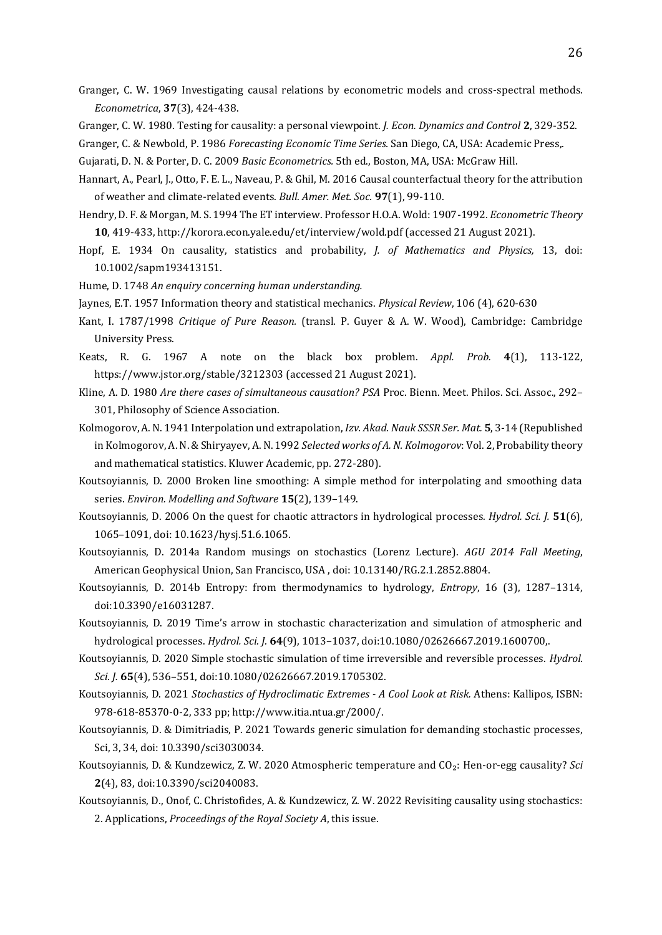- Granger, C. W. 1969 Investigating causal relations by econometric models and cross-spectral methods. *Econometrica*, **37**(3), 424-438.
- Granger, C. W. 1980. Testing for causality: a personal viewpoint. *J. Econ. Dynamics and Control* **2**, 329-352.
- Granger, C. & Newbold, P. 1986 *Forecasting Economic Time Series.* San Diego, CA, USA: Academic Press,.
- Gujarati, D. N. & Porter, D. C. 2009 *Basic Econometrics.* 5th ed., Boston, MA, USA: McGraw Hill.
- Hannart, A., Pearl, J., Otto, F. E. L., Naveau, P. & Ghil, M. 2016 Causal counterfactual theory for the attribution of weather and climate-related events. *Bull. Amer. Met. Soc.* **97**(1), 99-110.
- Hendry, D. F. & Morgan, M. S. 1994 The ET interview. Professor H.O.A. Wold: 1907-1992. *Econometric Theory* **10**, 419-433, http://korora.econ.yale.edu/et/interview/wold.pdf (accessed 21 August 2021).
- Hopf, E. 1934 On causality, statistics and probability, *J. of Mathematics and Physics,* 13, doi: 10.1002/sapm193413151.
- Hume, D. 1748 *An enquiry concerning human understanding.*
- Jaynes, E.T. 1957 Information theory and statistical mechanics. *Physical Review*, 106 (4), 620-630
- Kant, I. 1787/1998 *Critique of Pure Reason.* (transl. P. Guyer & A. W. Wood), Cambridge: Cambridge University Press.
- Keats, R. G. 1967 A note on the black box problem. *Appl. Prob.* **4**(1), 113-122, https://www.jstor.org/stable/3212303 (accessed 21 August 2021).
- Kline, A. D. 1980 *Are there cases of simultaneous causation? PSA* Proc. Bienn. Meet. Philos. Sci. Assoc., 292– 301, Philosophy of Science Association.
- Kolmogorov, A. N. 1941 Interpolation und extrapolation, *Izv. Akad. Nauk SSSR Ser. Mat.* **5**, 3-14 (Republished in Kolmogorov, A. N. & Shiryayev, A. N. 1992 *Selected works of A. N. Kolmogorov*: Vol. 2, Probability theory and mathematical statistics. Kluwer Academic, pp. 272-280).
- Koutsoyiannis, D. 2000 Broken line smoothing: A simple method for interpolating and smoothing data series. *Environ. Modelling and Software* **15**(2), 139–149.
- Koutsoyiannis, D. 2006 On the quest for chaotic attractors in hydrological processes. *Hydrol. Sci. J.* **51**(6), 1065–1091, doi: 10.1623/hysj.51.6.1065.
- Koutsoyiannis, D. 2014a Random musings on stochastics (Lorenz Lecture). *AGU 2014 Fall Meeting*, American Geophysical Union, San Francisco, USA , doi: 10.13140/RG.2.1.2852.8804.
- Koutsoyiannis, D. 2014b Entropy: from thermodynamics to hydrology, *Entropy*, 16 (3), 1287–1314, doi:10.3390/e16031287.
- Koutsoyiannis, D. 2019 Time's arrow in stochastic characterization and simulation of atmospheric and hydrological processes. *Hydrol. Sci. J.* **64**(9), 1013–1037, doi:10.1080/02626667.2019.1600700,.
- Koutsoyiannis, D. 2020 Simple stochastic simulation of time irreversible and reversible processes. *Hydrol. Sci. J.* **65**(4), 536–551, doi:10.1080/02626667.2019.1705302.
- Koutsoyiannis, D. 2021 *Stochastics of Hydroclimatic Extremes - A Cool Look at Risk.* Athens: Kallipos, ISBN: 978-618-85370-0-2, 333 pp; http://www.itia.ntua.gr/2000/.
- Koutsoyiannis, D. & Dimitriadis, P. 2021 Towards generic simulation for demanding stochastic processes, Sci, 3, 34, doi: 10.3390/sci3030034.
- Koutsoyiannis, D. & Kundzewicz, Z. W. 2020 Atmospheric temperature and CO₂: Hen-or-egg causality? *Sci* **2**(4), 83, doi:10.3390/sci2040083.
- Koutsoyiannis, D., Onof, C. Christofides, A. & Kundzewicz, Z. W. 2022 Revisiting causality using stochastics: 2. Applications, *Proceedings of the Royal Society A*, this issue.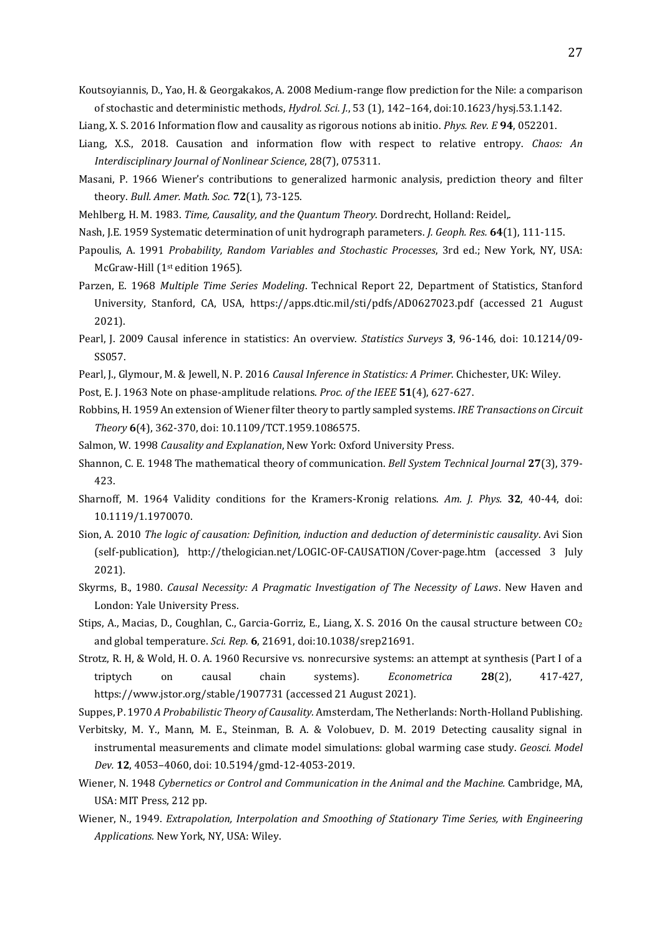Koutsoyiannis, D., Yao, H. & Georgakakos, A. 2008 Medium-range flow prediction for the Nile: a comparison of stochastic and deterministic methods, *Hydrol. Sci. J.*, 53 (1), 142–164, doi:10.1623/hysj.53.1.142.

- Liang, X. S. 2016 Information flow and causality as rigorous notions ab initio. *Phys. Rev. E* **94**, 052201.
- Liang, X.S., 2018. Causation and information flow with respect to relative entropy. *Chaos: An Interdisciplinary Journal of Nonlinear Science*, 28(7), 075311.
- Masani, P. 1966 Wiener's contributions to generalized harmonic analysis, prediction theory and filter theory. *Bull. Amer. Math. Soc.* **72**(1), 73-125.
- Mehlberg, H. M. 1983. *Time, Causality, and the Quantum Theory*. Dordrecht, Holland: Reidel,.
- Nash, J.E. 1959 Systematic determination of unit hydrograph parameters. *J. Geoph. Res.* **64**(1), 111-115.
- Papoulis, A. 1991 *Probability, Random Variables and Stochastic Processes*, 3rd ed.; New York, NY, USA: McGraw-Hill (1st edition 1965).
- Parzen, E. 1968 *Multiple Time Series Modeling*. Technical Report 22, Department of Statistics, Stanford University, Stanford, CA, USA, https://apps.dtic.mil/sti/pdfs/AD0627023.pdf (accessed 21 August 2021).
- Pearl, J. 2009 Causal inference in statistics: An overview. *Statistics Surveys* **3**, 96-146, doi: 10.1214/09- SS057.
- Pearl, J., Glymour, M. & Jewell, N. P. 2016 *Causal Inference in Statistics: A Primer*. Chichester, UK: Wiley.
- Post, E. J. 1963 Note on phase-amplitude relations. *Proc. of the IEEE* **51**(4), 627-627.
- Robbins, H. 1959 An extension of Wiener filter theory to partly sampled systems. *IRE Transactions on Circuit Theory* **6**(4), 362-370, doi: 10.1109/TCT.1959.1086575.
- Salmon, W. 1998 *Causality and Explanation*, New York: Oxford University Press.
- Shannon, C. E. 1948 The mathematical theory of communication. *Bell System Technical Journal* **27**(3), 379- 423.
- Sharnoff, M. 1964 Validity conditions for the Kramers-Kronig relations. *Am. J. Phys.* **32**, 40-44, doi: 10.1119/1.1970070.
- Sion, A. 2010 *The logic of causation: Definition, induction and deduction of deterministic causality*. Avi Sion (self-publication), http://thelogician.net/LOGIC-OF-CAUSATION/Cover-page.htm (accessed 3 July 2021).
- Skyrms, B., 1980. *Causal Necessity: A Pragmatic Investigation of The Necessity of Laws*. New Haven and London: Yale University Press.
- Stips, A., Macias, D., Coughlan, C., Garcia-Gorriz, E., Liang, X. S. 2016 On the causal structure between CO<sup>2</sup> and global temperature. *Sci. Rep.* **6**, 21691, doi:10.1038/srep21691.
- Strotz, R. H, & Wold, H. O. A. 1960 Recursive vs. nonrecursive systems: an attempt at synthesis (Part I of a triptych on causal chain systems). *Econometrica* **28**(2), 417-427, https://www.jstor.org/stable/1907731 (accessed 21 August 2021).

Suppes, P. 1970 *A Probabilistic Theory of Causality.* Amsterdam, The Netherlands: North-Holland Publishing.

Verbitsky, M. Y., Mann, M. E., Steinman, B. A. & Volobuev, D. M. 2019 Detecting causality signal in instrumental measurements and climate model simulations: global warming case study. *Geosci. Model Dev.* **12**, 4053–4060, doi: 10.5194/gmd-12-4053-2019.

- Wiener, N. 1948 *Cybernetics or Control and Communication in the Animal and the Machine.* Cambridge, MA, USA: MIT Press, 212 pp.
- Wiener, N., 1949. *Extrapolation, Interpolation and Smoothing of Stationary Time Series, with Engineering Applications.* New York, NY, USA: Wiley.